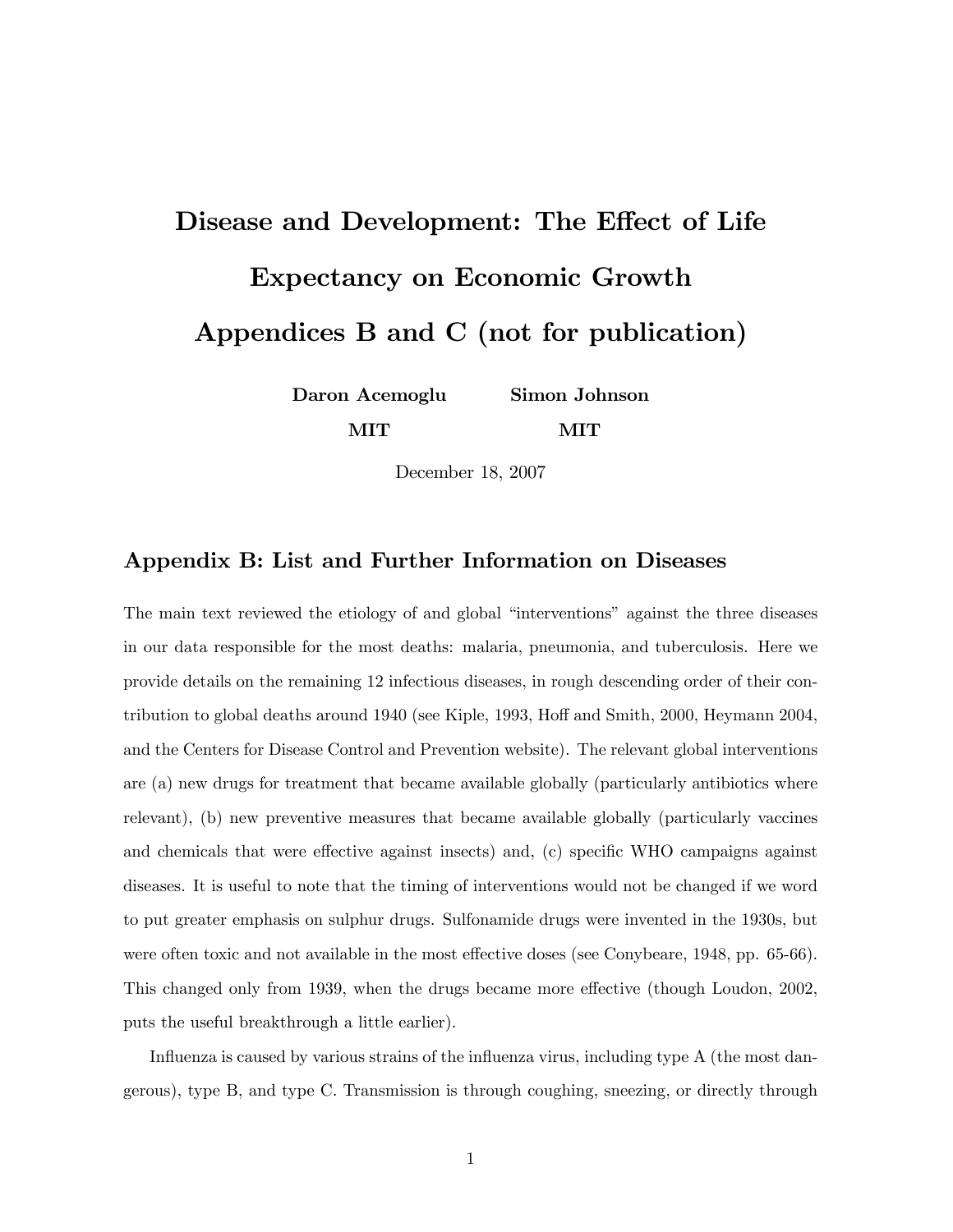# Disease and Development: The Effect of Life Expectancy on Economic Growth Appendices B and C (not for publication)

Daron Acemoglu MIT Simon Johnson MIT

December 18, 2007

# Appendix B: List and Further Information on Diseases

The main text reviewed the etiology of and global "interventions" against the three diseases in our data responsible for the most deaths: malaria, pneumonia, and tuberculosis. Here we provide details on the remaining 12 infectious diseases, in rough descending order of their contribution to global deaths around 1940 (see Kiple, 1993, Hoff and Smith, 2000, Heymann 2004, and the Centers for Disease Control and Prevention website). The relevant global interventions are (a) new drugs for treatment that became available globally (particularly antibiotics where relevant), (b) new preventive measures that became available globally (particularly vaccines and chemicals that were effective against insects) and, (c) specific WHO campaigns against diseases. It is useful to note that the timing of interventions would not be changed if we word to put greater emphasis on sulphur drugs. Sulfonamide drugs were invented in the 1930s, but were often toxic and not available in the most effective doses (see Conybeare, 1948, pp. 65-66). This changed only from 1939, when the drugs became more effective (though Loudon, 2002, puts the useful breakthrough a little earlier).

Influenza is caused by various strains of the influenza virus, including type A (the most dangerous), type B, and type C. Transmission is through coughing, sneezing, or directly through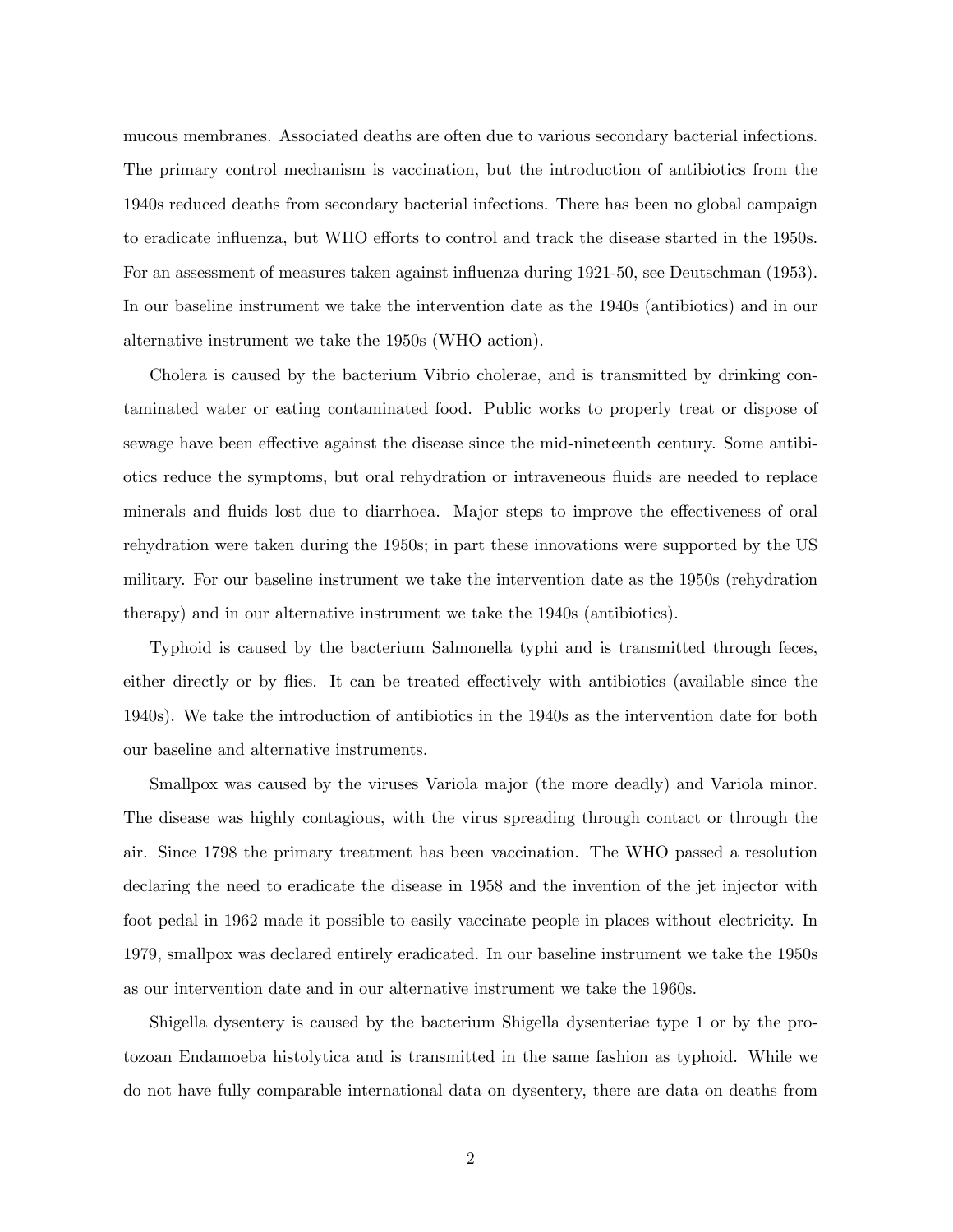mucous membranes. Associated deaths are often due to various secondary bacterial infections. The primary control mechanism is vaccination, but the introduction of antibiotics from the 1940s reduced deaths from secondary bacterial infections. There has been no global campaign to eradicate influenza, but WHO efforts to control and track the disease started in the 1950s. For an assessment of measures taken against ináuenza during 1921-50, see Deutschman (1953). In our baseline instrument we take the intervention date as the 1940s (antibiotics) and in our alternative instrument we take the 1950s (WHO action).

Cholera is caused by the bacterium Vibrio cholerae, and is transmitted by drinking contaminated water or eating contaminated food. Public works to properly treat or dispose of sewage have been effective against the disease since the mid-nineteenth century. Some antibiotics reduce the symptoms, but oral rehydration or intraveneous áuids are needed to replace minerals and fluids lost due to diarrhoea. Major steps to improve the effectiveness of oral rehydration were taken during the 1950s; in part these innovations were supported by the US military. For our baseline instrument we take the intervention date as the 1950s (rehydration therapy) and in our alternative instrument we take the 1940s (antibiotics).

Typhoid is caused by the bacterium Salmonella typhi and is transmitted through feces, either directly or by flies. It can be treated effectively with antibiotics (available since the 1940s). We take the introduction of antibiotics in the 1940s as the intervention date for both our baseline and alternative instruments.

Smallpox was caused by the viruses Variola major (the more deadly) and Variola minor. The disease was highly contagious, with the virus spreading through contact or through the air. Since 1798 the primary treatment has been vaccination. The WHO passed a resolution declaring the need to eradicate the disease in 1958 and the invention of the jet injector with foot pedal in 1962 made it possible to easily vaccinate people in places without electricity. In 1979, smallpox was declared entirely eradicated. In our baseline instrument we take the 1950s as our intervention date and in our alternative instrument we take the 1960s.

Shigella dysentery is caused by the bacterium Shigella dysenteriae type 1 or by the protozoan Endamoeba histolytica and is transmitted in the same fashion as typhoid. While we do not have fully comparable international data on dysentery, there are data on deaths from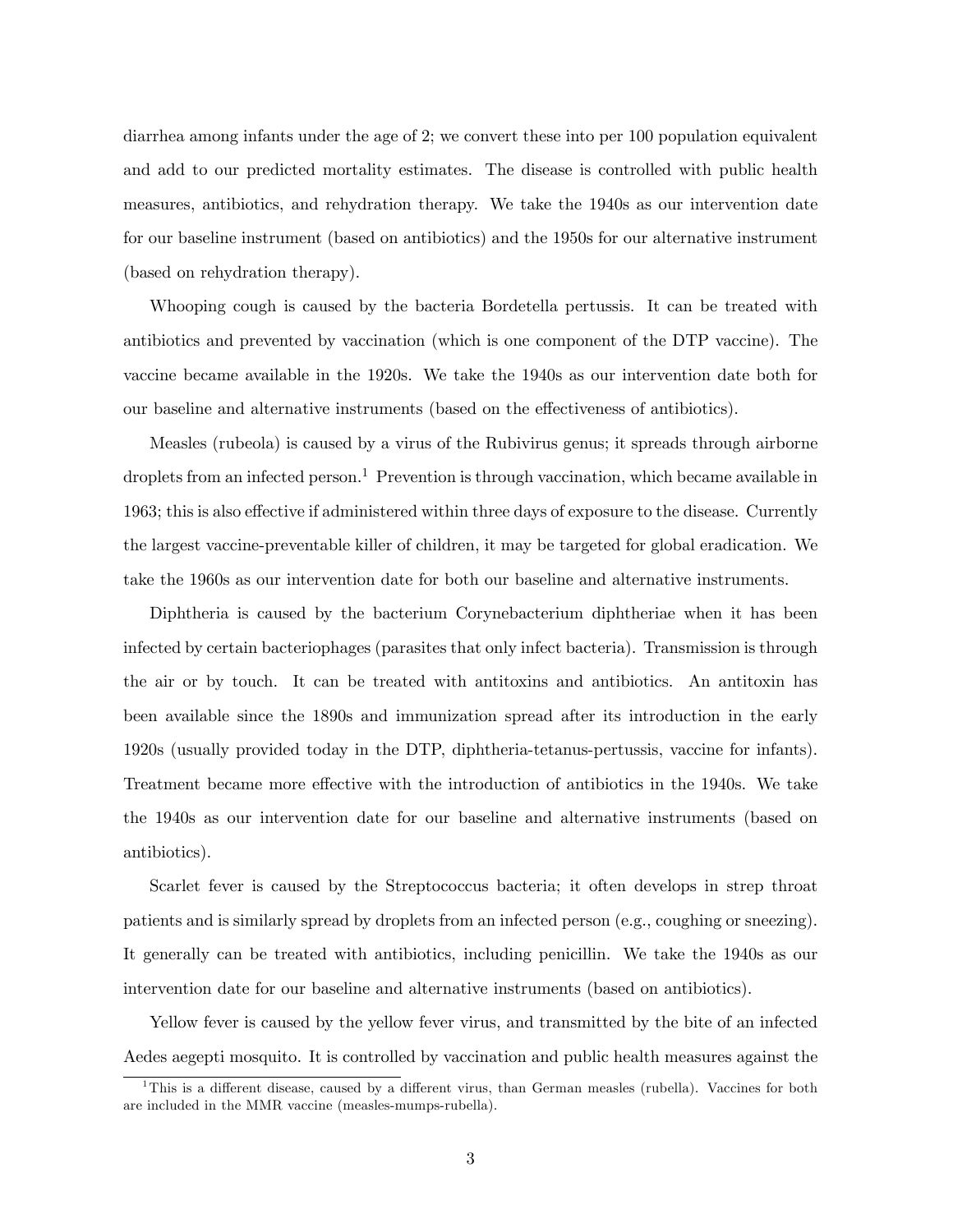diarrhea among infants under the age of 2; we convert these into per 100 population equivalent and add to our predicted mortality estimates. The disease is controlled with public health measures, antibiotics, and rehydration therapy. We take the 1940s as our intervention date for our baseline instrument (based on antibiotics) and the 1950s for our alternative instrument (based on rehydration therapy).

Whooping cough is caused by the bacteria Bordetella pertussis. It can be treated with antibiotics and prevented by vaccination (which is one component of the DTP vaccine). The vaccine became available in the 1920s. We take the 1940s as our intervention date both for our baseline and alternative instruments (based on the effectiveness of antibiotics).

Measles (rubeola) is caused by a virus of the Rubivirus genus; it spreads through airborne droplets from an infected person.<sup>1</sup> Prevention is through vaccination, which became available in 1963; this is also effective if administered within three days of exposure to the disease. Currently the largest vaccine-preventable killer of children, it may be targeted for global eradication. We take the 1960s as our intervention date for both our baseline and alternative instruments.

Diphtheria is caused by the bacterium Corynebacterium diphtheriae when it has been infected by certain bacteriophages (parasites that only infect bacteria). Transmission is through the air or by touch. It can be treated with antitoxins and antibiotics. An antitoxin has been available since the 1890s and immunization spread after its introduction in the early 1920s (usually provided today in the DTP, diphtheria-tetanus-pertussis, vaccine for infants). Treatment became more effective with the introduction of antibiotics in the 1940s. We take the 1940s as our intervention date for our baseline and alternative instruments (based on antibiotics).

Scarlet fever is caused by the Streptococcus bacteria; it often develops in strep throat patients and is similarly spread by droplets from an infected person (e.g., coughing or sneezing). It generally can be treated with antibiotics, including penicillin. We take the 1940s as our intervention date for our baseline and alternative instruments (based on antibiotics).

Yellow fever is caused by the yellow fever virus, and transmitted by the bite of an infected Aedes aegepti mosquito. It is controlled by vaccination and public health measures against the

<sup>&</sup>lt;sup>1</sup>This is a different disease, caused by a different virus, than German measles (rubella). Vaccines for both are included in the MMR vaccine (measles-mumps-rubella).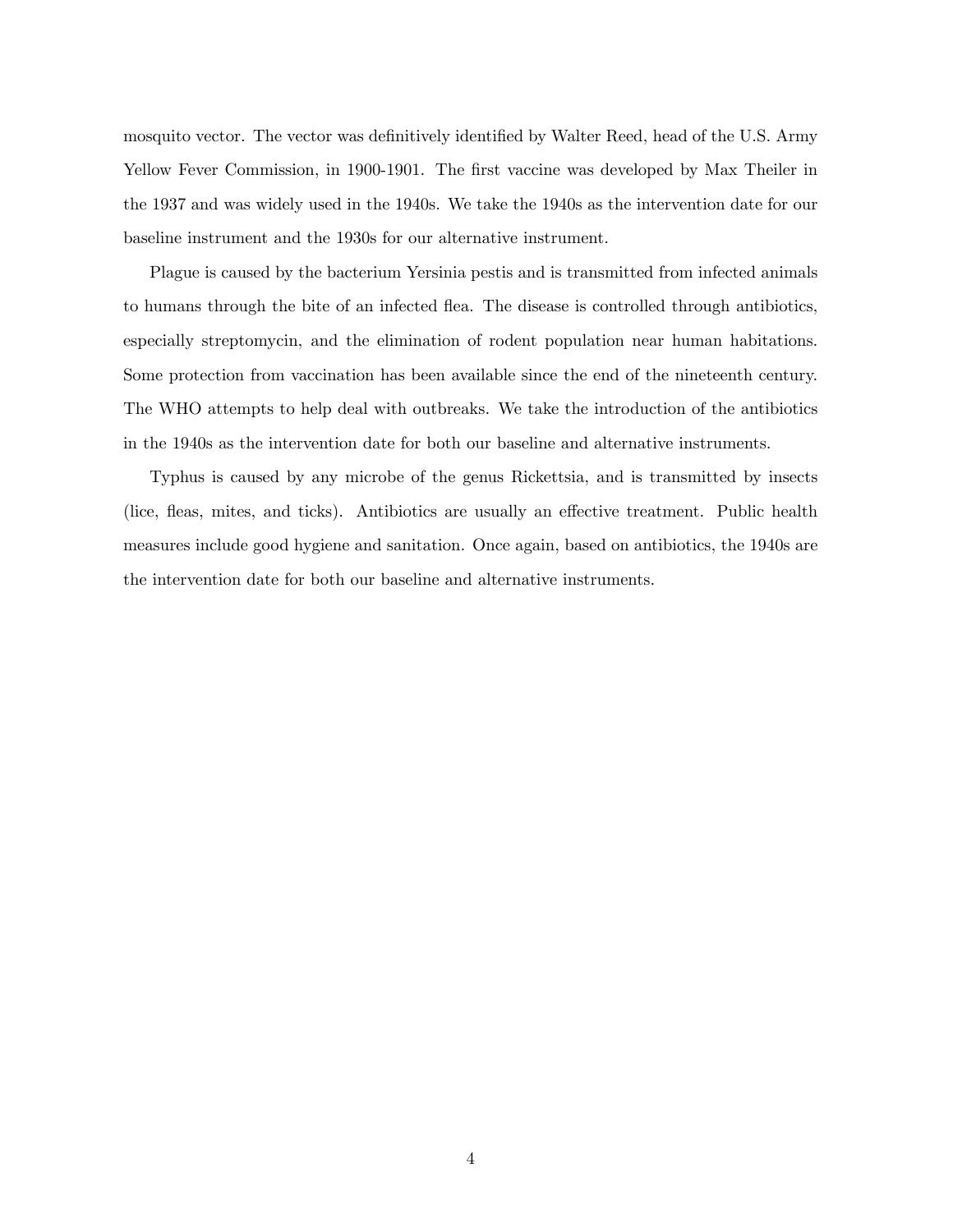mosquito vector. The vector was definitively identified by Walter Reed, head of the U.S. Army Yellow Fever Commission, in 1900-1901. The first vaccine was developed by Max Theiler in the 1937 and was widely used in the 1940s. We take the 1940s as the intervention date for our baseline instrument and the 1930s for our alternative instrument.

Plague is caused by the bacterium Yersinia pestis and is transmitted from infected animals to humans through the bite of an infected flea. The disease is controlled through antibiotics, especially streptomycin, and the elimination of rodent population near human habitations. Some protection from vaccination has been available since the end of the nineteenth century. The WHO attempts to help deal with outbreaks. We take the introduction of the antibiotics in the 1940s as the intervention date for both our baseline and alternative instruments.

Typhus is caused by any microbe of the genus Rickettsia, and is transmitted by insects (lice, fleas, mites, and ticks). Antibiotics are usually an effective treatment. Public health measures include good hygiene and sanitation. Once again, based on antibiotics, the 1940s are the intervention date for both our baseline and alternative instruments.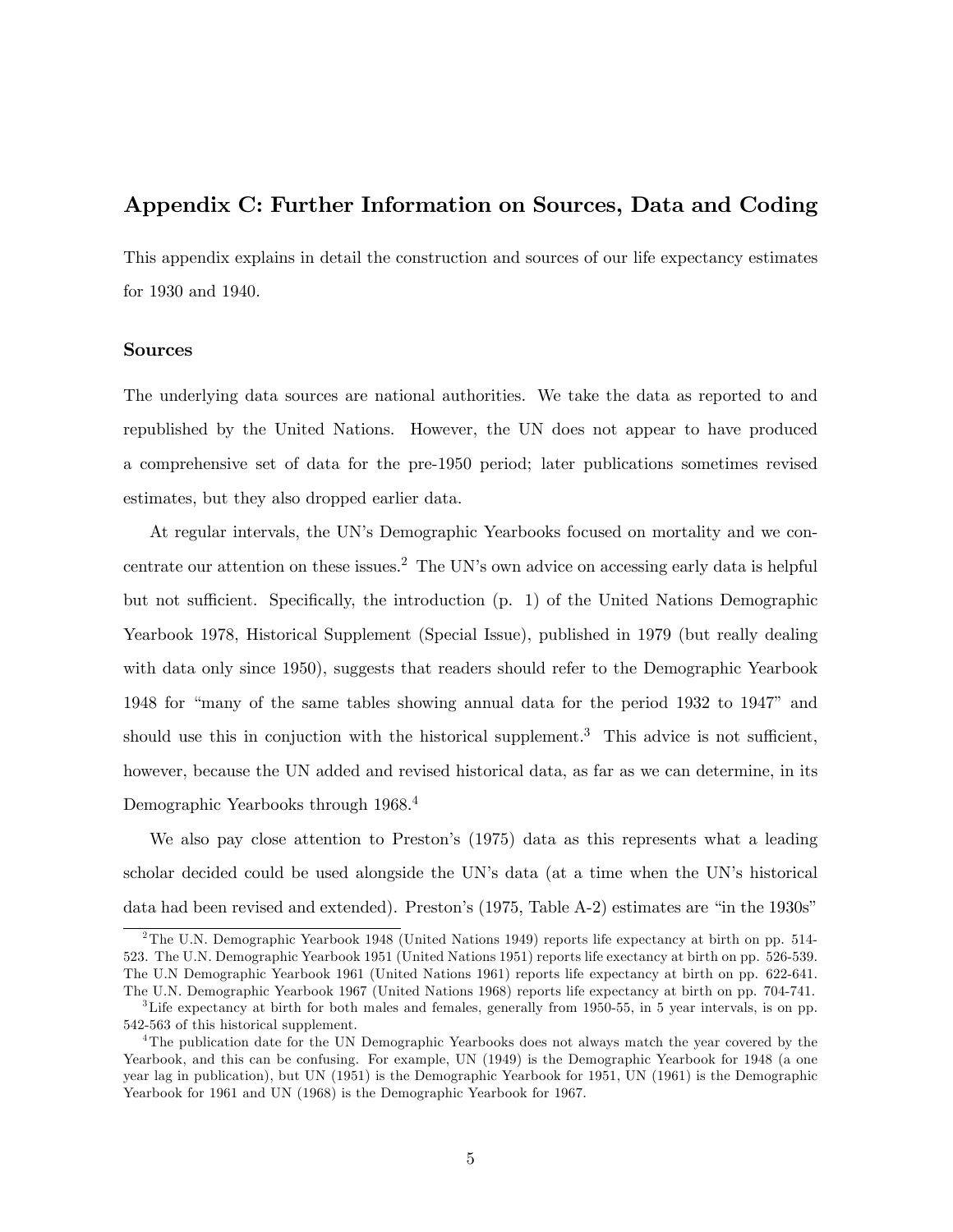# Appendix C: Further Information on Sources, Data and Coding

This appendix explains in detail the construction and sources of our life expectancy estimates for 1930 and 1940.

# Sources

The underlying data sources are national authorities. We take the data as reported to and republished by the United Nations. However, the UN does not appear to have produced a comprehensive set of data for the pre-1950 period; later publications sometimes revised estimates, but they also dropped earlier data.

At regular intervals, the UN's Demographic Yearbooks focused on mortality and we concentrate our attention on these issues.<sup>2</sup> The UN's own advice on accessing early data is helpful but not sufficient. Specifically, the introduction (p. 1) of the United Nations Demographic Yearbook 1978, Historical Supplement (Special Issue), published in 1979 (but really dealing with data only since 1950), suggests that readers should refer to the Demographic Yearbook 1948 for "many of the same tables showing annual data for the period 1932 to 1947" and should use this in conjuction with the historical supplement.<sup>3</sup> This advice is not sufficient, however, because the UN added and revised historical data, as far as we can determine, in its Demographic Yearbooks through 1968.<sup>4</sup>

We also pay close attention to Preston's (1975) data as this represents what a leading scholar decided could be used alongside the UN's data (at a time when the UN's historical data had been revised and extended). Preston's  $(1975, \text{Table A-2})$  estimates are "in the  $1930s$ "

<sup>2</sup>The U.N. Demographic Yearbook 1948 (United Nations 1949) reports life expectancy at birth on pp. 514- 523. The U.N. Demographic Yearbook 1951 (United Nations 1951) reports life exectancy at birth on pp. 526-539. The U.N Demographic Yearbook 1961 (United Nations 1961) reports life expectancy at birth on pp. 622-641. The U.N. Demographic Yearbook 1967 (United Nations 1968) reports life expectancy at birth on pp. 704-741.

 ${}^{3}$ Life expectancy at birth for both males and females, generally from 1950-55, in 5 year intervals, is on pp. 542-563 of this historical supplement.

<sup>&</sup>lt;sup>4</sup>The publication date for the UN Demographic Yearbooks does not always match the year covered by the Yearbook, and this can be confusing. For example, UN (1949) is the Demographic Yearbook for 1948 (a one year lag in publication), but UN (1951) is the Demographic Yearbook for 1951, UN (1961) is the Demographic Yearbook for 1961 and UN (1968) is the Demographic Yearbook for 1967.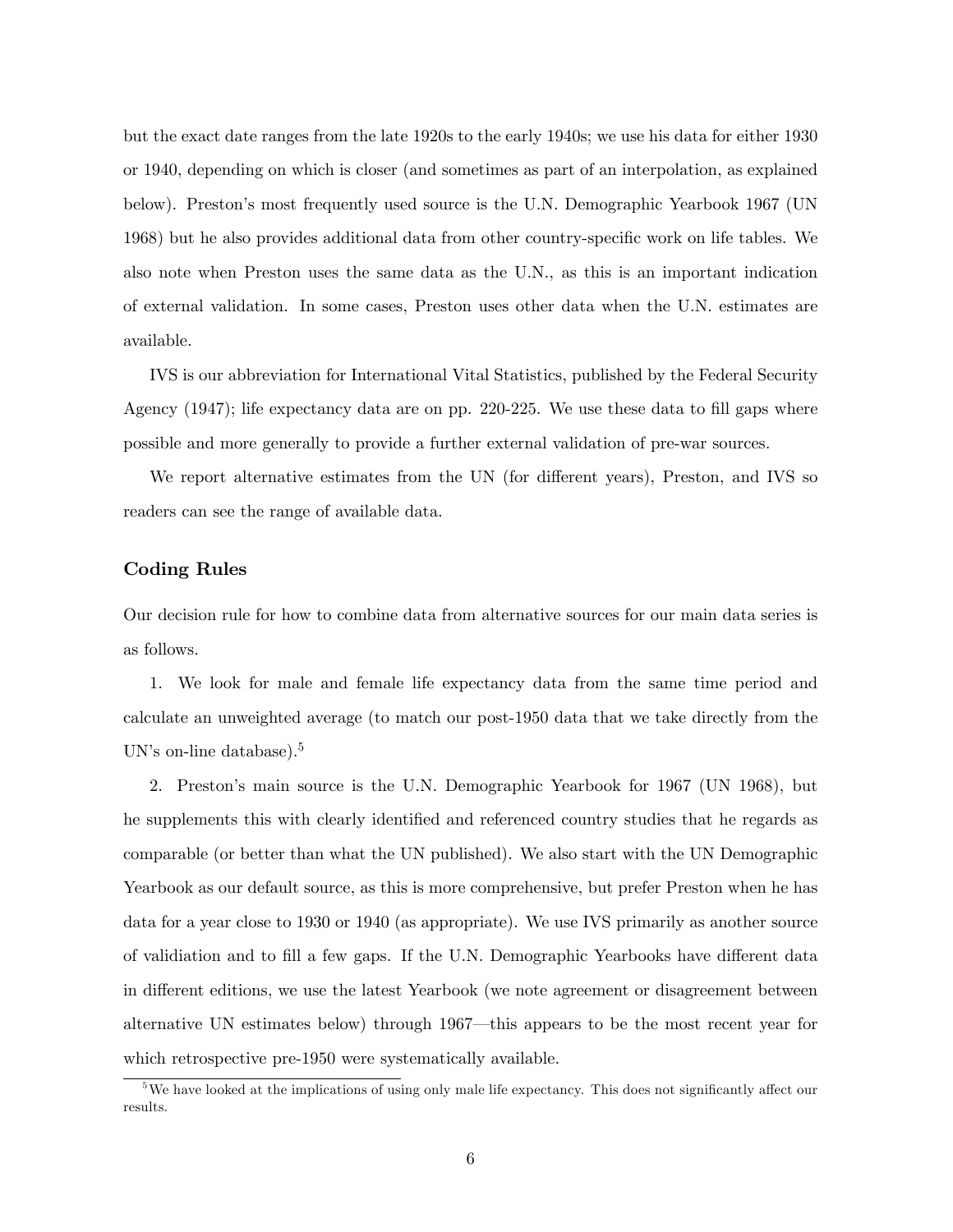but the exact date ranges from the late 1920s to the early 1940s; we use his data for either 1930 or 1940, depending on which is closer (and sometimes as part of an interpolation, as explained below). Prestonís most frequently used source is the U.N. Demographic Yearbook 1967 (UN 1968) but he also provides additional data from other country-specific work on life tables. We also note when Preston uses the same data as the U.N., as this is an important indication of external validation. In some cases, Preston uses other data when the U.N. estimates are available.

IVS is our abbreviation for International Vital Statistics, published by the Federal Security Agency  $(1947)$ ; life expectancy data are on pp. 220-225. We use these data to fill gaps where possible and more generally to provide a further external validation of pre-war sources.

We report alternative estimates from the UN (for different years), Preston, and IVS so readers can see the range of available data.

# Coding Rules

Our decision rule for how to combine data from alternative sources for our main data series is as follows.

1. We look for male and female life expectancy data from the same time period and calculate an unweighted average (to match our post-1950 data that we take directly from the UN's on-line database).<sup>5</sup>

2. Prestonís main source is the U.N. Demographic Yearbook for 1967 (UN 1968), but he supplements this with clearly identified and referenced country studies that he regards as comparable (or better than what the UN published). We also start with the UN Demographic Yearbook as our default source, as this is more comprehensive, but prefer Preston when he has data for a year close to 1930 or 1940 (as appropriate). We use IVS primarily as another source of validiation and to fill a few gaps. If the U.N. Demographic Yearbooks have different data in different editions, we use the latest Yearbook (we note agreement or disagreement between alternative UN estimates below) through 1967—this appears to be the most recent year for which retrospective pre-1950 were systematically available.

 $5$ We have looked at the implications of using only male life expectancy. This does not significantly affect our results.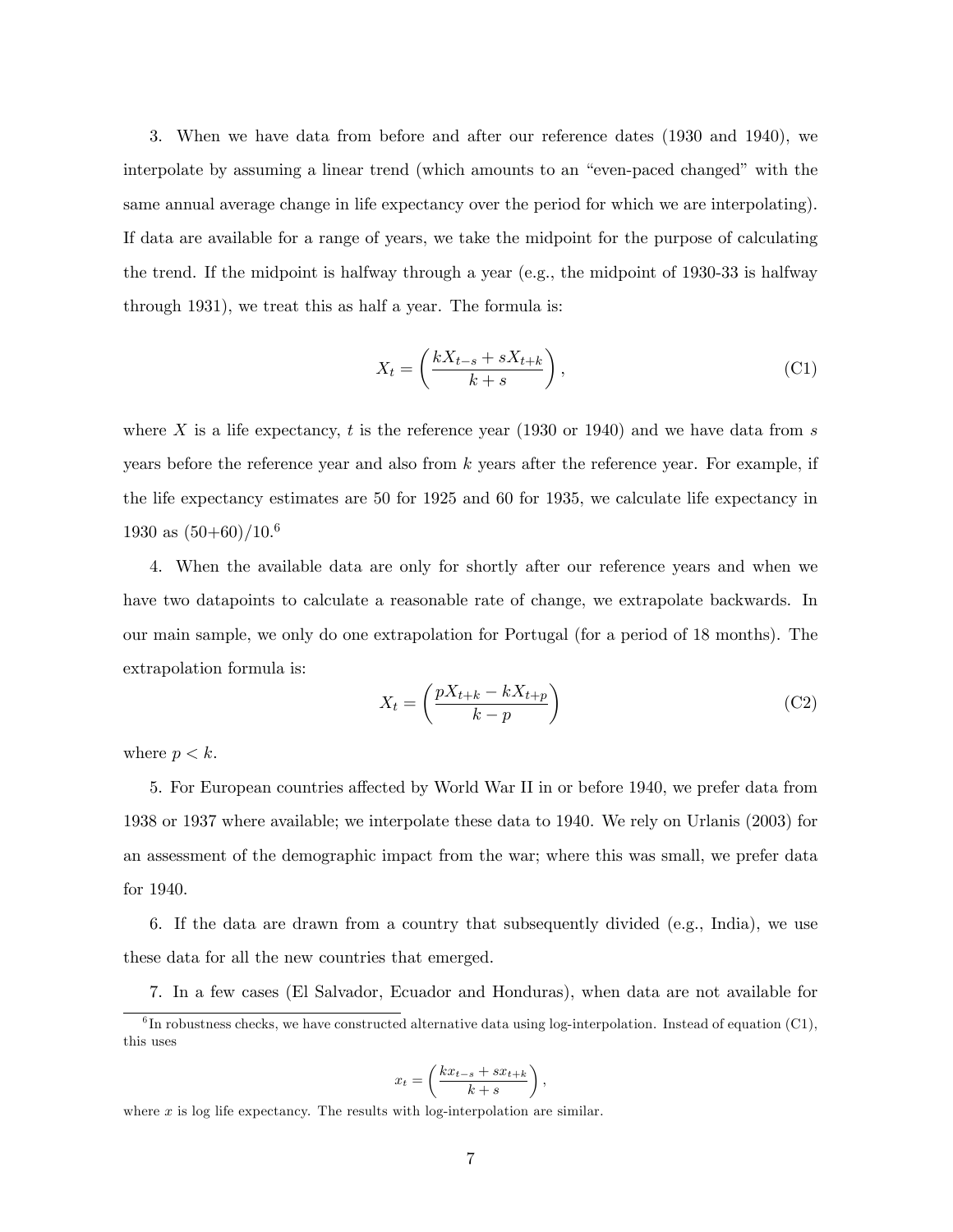3. When we have data from before and after our reference dates (1930 and 1940), we interpolate by assuming a linear trend (which amounts to an "even-paced changed" with the same annual average change in life expectancy over the period for which we are interpolating). If data are available for a range of years, we take the midpoint for the purpose of calculating the trend. If the midpoint is halfway through a year (e.g., the midpoint of 1930-33 is halfway through 1931), we treat this as half a year. The formula is:

$$
X_t = \left(\frac{kX_{t-s} + sX_{t+k}}{k+s}\right),\tag{C1}
$$

where X is a life expectancy, t is the reference year (1930 or 1940) and we have data from s years before the reference year and also from  $k$  years after the reference year. For example, if the life expectancy estimates are 50 for 1925 and 60 for 1935, we calculate life expectancy in 1930 as  $(50+60)/10^{6}$ 

4. When the available data are only for shortly after our reference years and when we have two datapoints to calculate a reasonable rate of change, we extrapolate backwards. In our main sample, we only do one extrapolation for Portugal (for a period of 18 months). The extrapolation formula is:

$$
X_t = \left(\frac{pX_{t+k} - kX_{t+p}}{k-p}\right) \tag{C2}
$$

where  $p < k$ .

5. For European countries affected by World War II in or before 1940, we prefer data from 1938 or 1937 where available; we interpolate these data to 1940. We rely on Urlanis (2003) for an assessment of the demographic impact from the war; where this was small, we prefer data for 1940.

6. If the data are drawn from a country that subsequently divided (e.g., India), we use these data for all the new countries that emerged.

7. In a few cases (El Salvador, Ecuador and Honduras), when data are not available for

$$
x_t = \left(\frac{kx_{t-s} + sx_{t+k}}{k+s}\right),\,
$$

where  $x$  is log life expectancy. The results with log-interpolation are similar.

 ${}^{6}$ In robustness checks, we have constructed alternative data using log-interpolation. Instead of equation (C1), this uses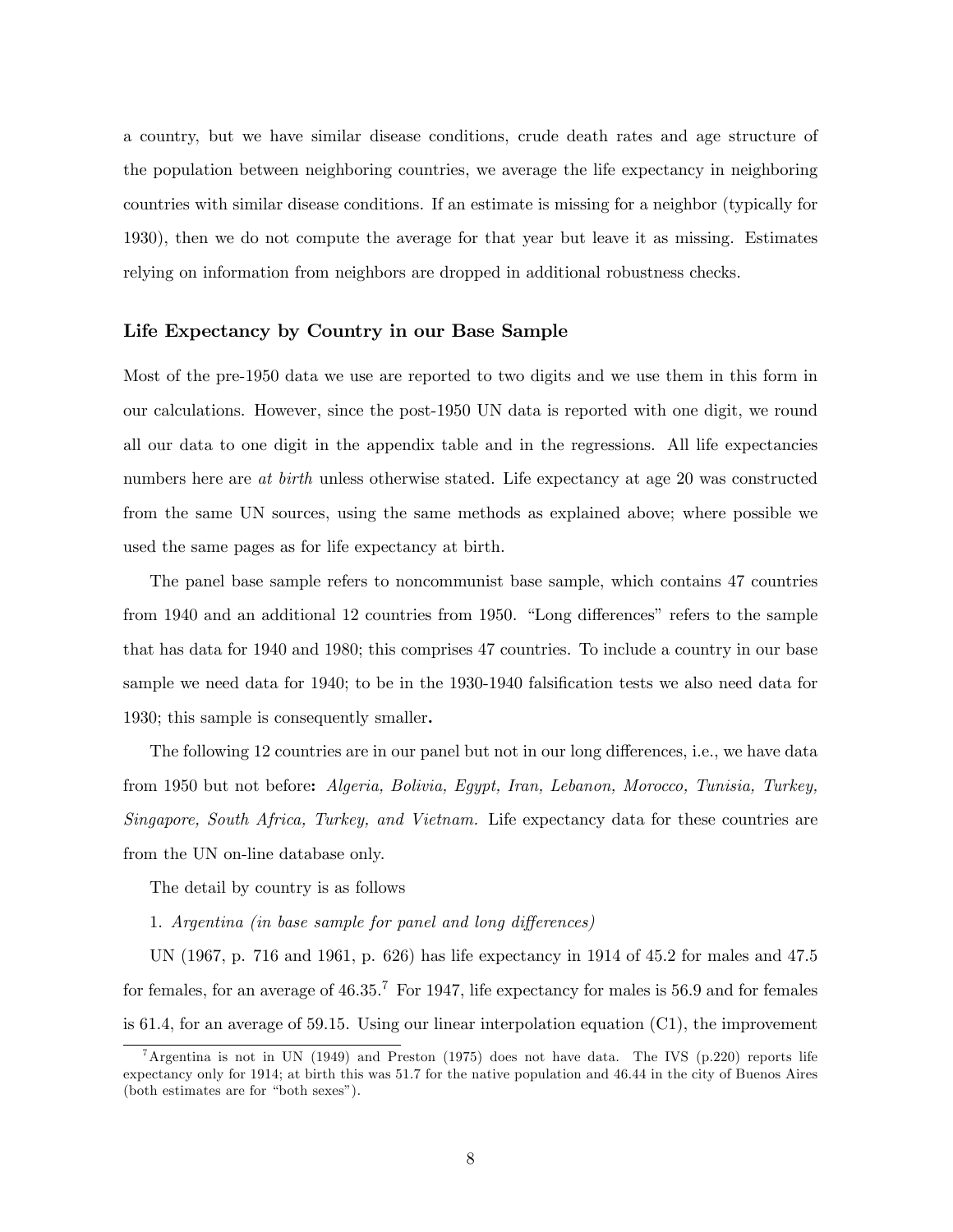a country, but we have similar disease conditions, crude death rates and age structure of the population between neighboring countries, we average the life expectancy in neighboring countries with similar disease conditions. If an estimate is missing for a neighbor (typically for 1930), then we do not compute the average for that year but leave it as missing. Estimates relying on information from neighbors are dropped in additional robustness checks.

#### Life Expectancy by Country in our Base Sample

Most of the pre-1950 data we use are reported to two digits and we use them in this form in our calculations. However, since the post-1950 UN data is reported with one digit, we round all our data to one digit in the appendix table and in the regressions. All life expectancies numbers here are at birth unless otherwise stated. Life expectancy at age 20 was constructed from the same UN sources, using the same methods as explained above; where possible we used the same pages as for life expectancy at birth.

The panel base sample refers to noncommunist base sample, which contains 47 countries from 1940 and an additional 12 countries from 1950. "Long differences" refers to the sample that has data for 1940 and 1980; this comprises 47 countries. To include a country in our base sample we need data for 1940; to be in the 1930-1940 falsification tests we also need data for 1930; this sample is consequently smaller.

The following 12 countries are in our panel but not in our long differences, i.e., we have data from 1950 but not before: Algeria, Bolivia, Egypt, Iran, Lebanon, Morocco, Tunisia, Turkey, Singapore, South Africa, Turkey, and Vietnam. Life expectancy data for these countries are from the UN on-line database only.

The detail by country is as follows

1. Argentina (in base sample for panel and long differences)

UN (1967, p. 716 and 1961, p. 626) has life expectancy in 1914 of 45.2 for males and 47.5 for females, for an average of  $46.35<sup>7</sup>$  For 1947, life expectancy for males is 56.9 and for females is 61.4, for an average of 59.15. Using our linear interpolation equation (C1), the improvement

<sup>&</sup>lt;sup>7</sup>Argentina is not in UN (1949) and Preston (1975) does not have data. The IVS (p.220) reports life expectancy only for 1914; at birth this was 51.7 for the native population and 46.44 in the city of Buenos Aires  $(both estimates are for "both sexes").$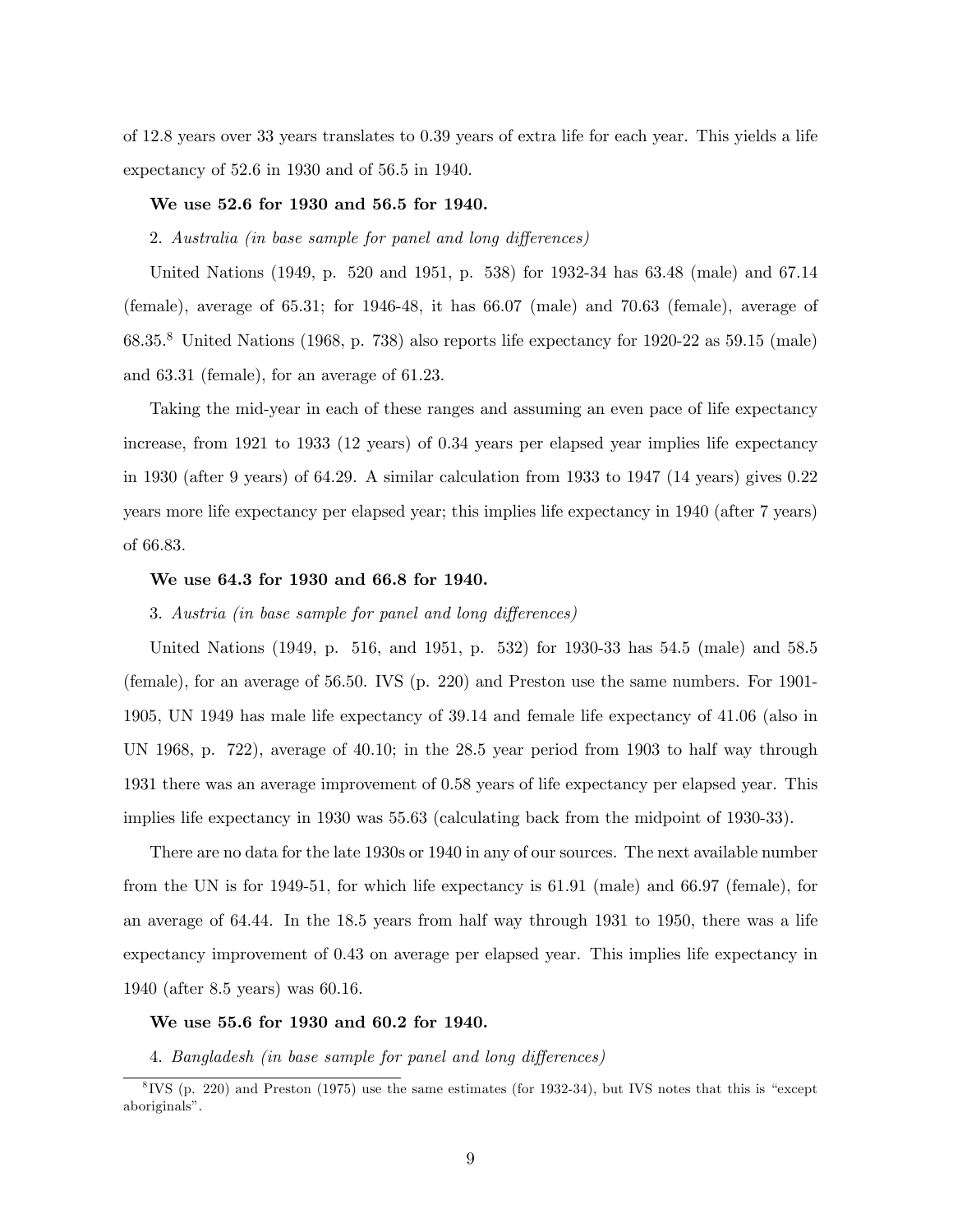of 12.8 years over 33 years translates to 0.39 years of extra life for each year. This yields a life expectancy of 52.6 in 1930 and of 56.5 in 1940.

# We use 52.6 for 1930 and 56.5 for 1940.

# 2. Australia (in base sample for panel and long differences)

United Nations (1949, p. 520 and 1951, p. 538) for 1932-34 has 63.48 (male) and 67.14 (female), average of  $65.31$ ; for  $1946-48$ , it has  $66.07$  (male) and  $70.63$  (female), average of  $68.35<sup>8</sup>$  United Nations (1968, p. 738) also reports life expectancy for 1920-22 as 59.15 (male) and 63.31 (female), for an average of 61.23.

Taking the mid-year in each of these ranges and assuming an even pace of life expectancy increase, from 1921 to 1933 (12 years) of 0.34 years per elapsed year implies life expectancy in 1930 (after 9 years) of 64.29. A similar calculation from 1933 to 1947 (14 years) gives 0.22 years more life expectancy per elapsed year; this implies life expectancy in 1940 (after 7 years) of 66.83.

#### We use 64.3 for 1930 and 66.8 for 1940.

# 3. Austria (in base sample for panel and long differences)

United Nations (1949, p. 516, and 1951, p. 532) for 1930-33 has 54.5 (male) and 58.5 (female), for an average of 56.50. IVS (p. 220) and Preston use the same numbers. For 1901- 1905, UN 1949 has male life expectancy of 39.14 and female life expectancy of 41.06 (also in UN 1968, p. 722), average of 40.10; in the 28.5 year period from 1903 to half way through 1931 there was an average improvement of 0.58 years of life expectancy per elapsed year. This implies life expectancy in 1930 was 55.63 (calculating back from the midpoint of 1930-33).

There are no data for the late 1930s or 1940 in any of our sources. The next available number from the UN is for 1949-51, for which life expectancy is 61.91 (male) and 66.97 (female), for an average of 64.44. In the 18.5 years from half way through 1931 to 1950, there was a life expectancy improvement of 0.43 on average per elapsed year. This implies life expectancy in 1940 (after 8.5 years) was 60.16.

#### We use 55.6 for 1930 and 60.2 for 1940.

4. Bangladesh (in base sample for panel and long differences)

 $8$ IVS (p. 220) and Preston (1975) use the same estimates (for 1932-34), but IVS notes that this is "except" aboriginals".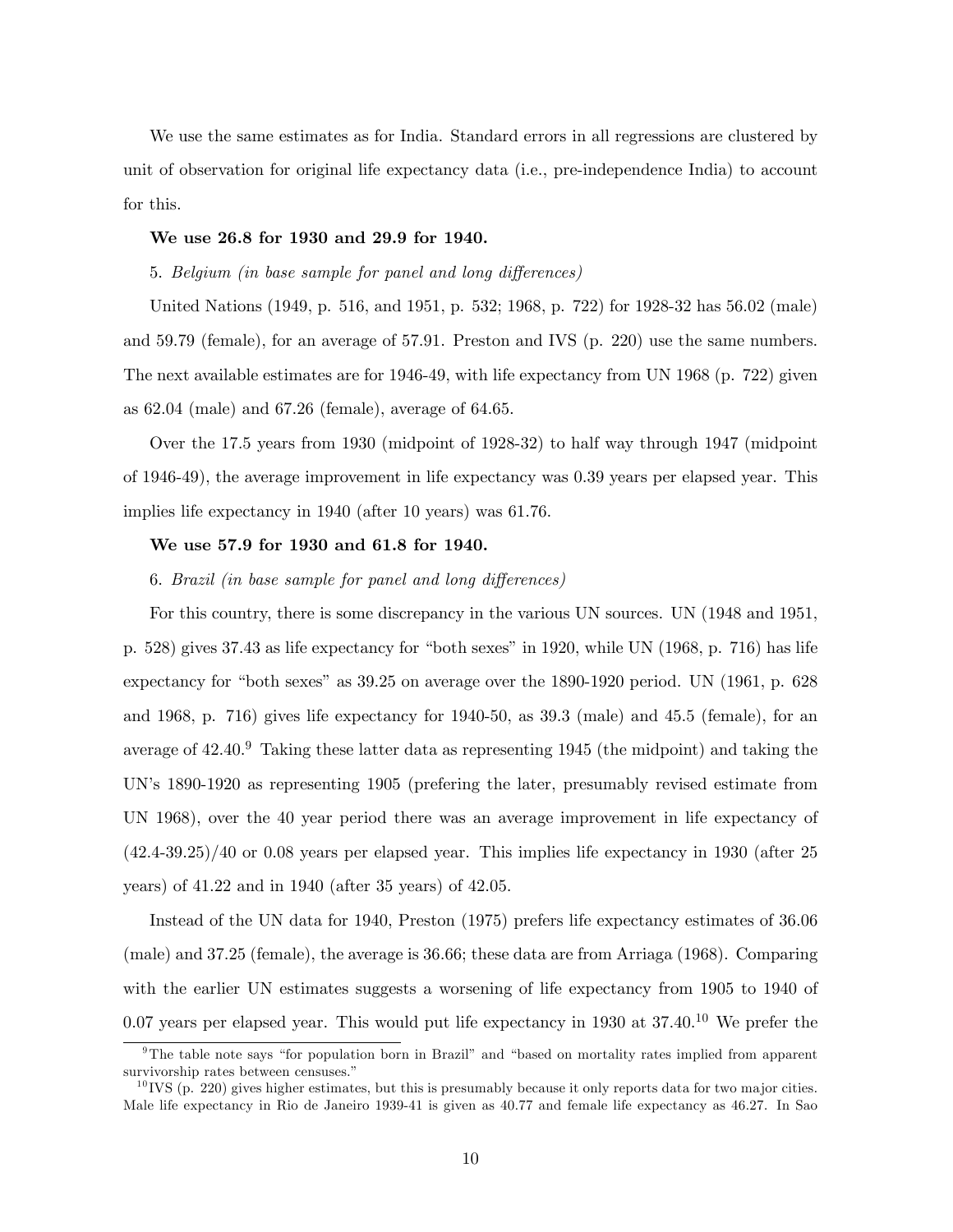We use the same estimates as for India. Standard errors in all regressions are clustered by unit of observation for original life expectancy data (i.e., pre-independence India) to account for this.

#### We use 26.8 for 1930 and 29.9 for 1940.

# 5. Belgium (in base sample for panel and long differences)

United Nations (1949, p. 516, and 1951, p. 532; 1968, p. 722) for 1928-32 has 56.02 (male) and 59.79 (female), for an average of 57.91. Preston and IVS (p. 220) use the same numbers. The next available estimates are for 1946-49, with life expectancy from UN 1968 (p. 722) given as 62.04 (male) and 67.26 (female), average of 64.65.

Over the 17.5 years from 1930 (midpoint of 1928-32) to half way through 1947 (midpoint of 1946-49), the average improvement in life expectancy was 0.39 years per elapsed year. This implies life expectancy in 1940 (after 10 years) was 61.76.

#### We use 57.9 for 1930 and 61.8 for 1940.

#### 6. Brazil (in base sample for panel and long differences)

For this country, there is some discrepancy in the various UN sources. UN (1948 and 1951, p. 528) gives 37.43 as life expectancy for "both sexes" in 1920, while UN  $(1968, p. 716)$  has life expectancy for "both sexes" as  $39.25$  on average over the 1890-1920 period. UN (1961, p. 628) and 1968, p. 716) gives life expectancy for 1940-50, as 39.3 (male) and 45.5 (female), for an average of  $42.40<sup>9</sup>$  Taking these latter data as representing 1945 (the midpoint) and taking the UN's 1890-1920 as representing 1905 (prefering the later, presumably revised estimate from UN 1968), over the 40 year period there was an average improvement in life expectancy of (42.4-39.25)/40 or 0.08 years per elapsed year. This implies life expectancy in 1930 (after 25 years) of 41.22 and in 1940 (after 35 years) of 42.05.

Instead of the UN data for 1940, Preston (1975) prefers life expectancy estimates of 36.06 (male) and 37.25 (female), the average is 36.66; these data are from Arriaga (1968). Comparing with the earlier UN estimates suggests a worsening of life expectancy from 1905 to 1940 of 0.07 years per elapsed year. This would put life expectancy in 1930 at  $37.40^{10}$  We prefer the

 $9$ The table note says "for population born in Brazil" and "based on mortality rates implied from apparent survivorship rates between censuses."

 $10$  IVS (p. 220) gives higher estimates, but this is presumably because it only reports data for two major cities. Male life expectancy in Rio de Janeiro 1939-41 is given as 40.77 and female life expectancy as 46.27. In Sao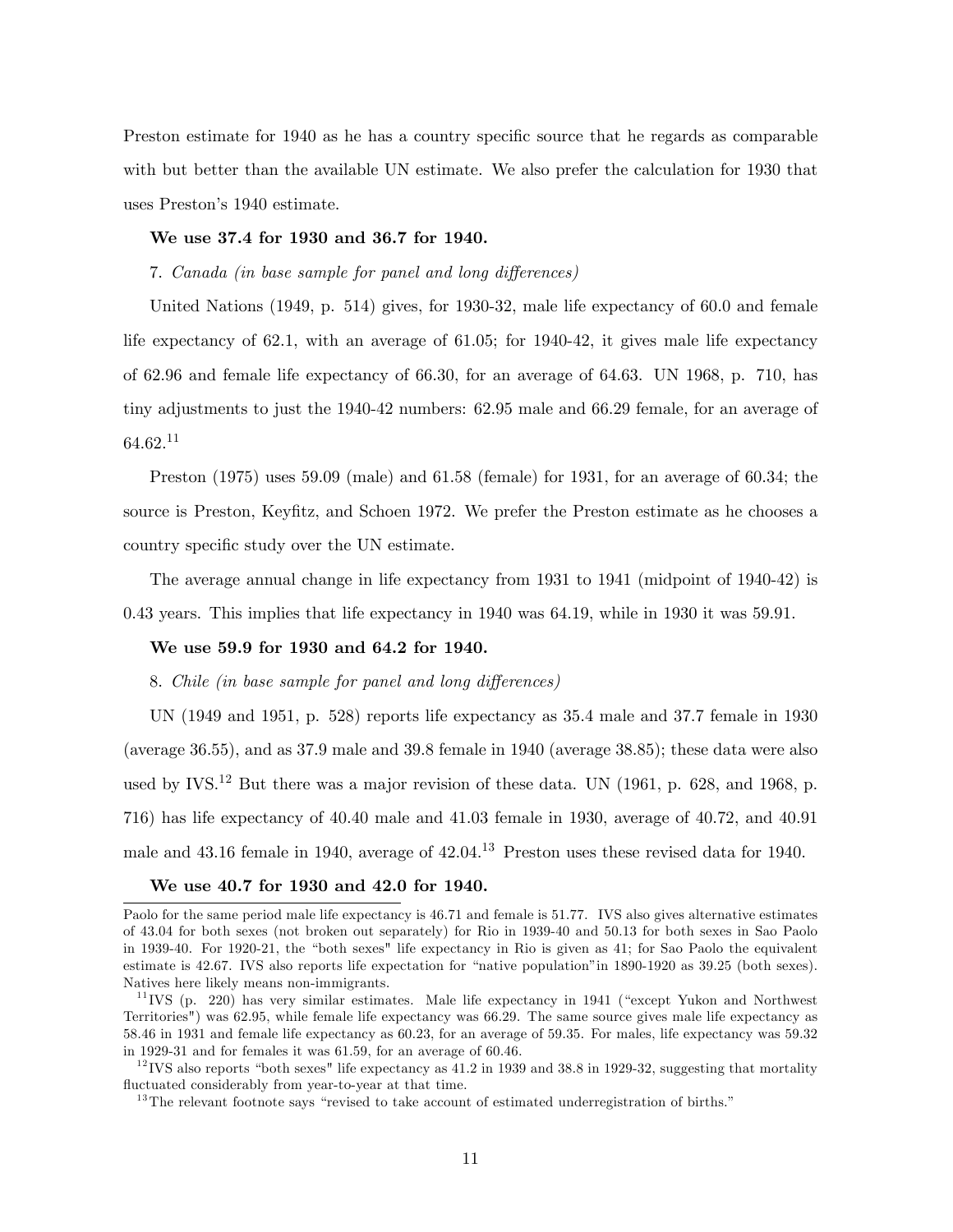Preston estimate for 1940 as he has a country specific source that he regards as comparable with but better than the available UN estimate. We also prefer the calculation for 1930 that uses Preston's 1940 estimate.

#### We use 37.4 for 1930 and 36.7 for 1940.

# 7. Canada (in base sample for panel and long differences)

United Nations (1949, p. 514) gives, for 1930-32, male life expectancy of 60.0 and female life expectancy of 62.1, with an average of 61.05; for 1940-42, it gives male life expectancy of 62.96 and female life expectancy of 66.30, for an average of 64.63. UN 1968, p. 710, has tiny adjustments to just the 1940-42 numbers: 62.95 male and 66.29 female, for an average of 64.62.<sup>11</sup>

Preston (1975) uses 59.09 (male) and 61.58 (female) for 1931, for an average of 60.34; the source is Preston, Keyfitz, and Schoen 1972. We prefer the Preston estimate as he chooses a country specific study over the UN estimate.

The average annual change in life expectancy from 1931 to 1941 (midpoint of 1940-42) is 0.43 years. This implies that life expectancy in 1940 was 64.19, while in 1930 it was 59.91.

#### We use 59.9 for 1930 and 64.2 for 1940.

#### 8. Chile (in base sample for panel and long differences)

UN (1949 and 1951, p. 528) reports life expectancy as 35.4 male and 37.7 female in 1930 (average 36.55), and as 37.9 male and 39.8 female in 1940 (average 38.85); these data were also used by IVS.<sup>12</sup> But there was a major revision of these data. UN (1961, p. 628, and 1968, p. 716) has life expectancy of 40.40 male and 41.03 female in 1930, average of 40.72, and 40.91 male and 43.16 female in 1940, average of 42.04.<sup>13</sup> Preston uses these revised data for 1940.

#### We use 40.7 for 1930 and 42.0 for 1940.

 $12$  IVS also reports "both sexes" life expectancy as 41.2 in 1939 and 38.8 in 1929-32, suggesting that mortality fluctuated considerably from year-to-year at that time.

Paolo for the same period male life expectancy is 46.71 and female is 51.77. IVS also gives alternative estimates of 43.04 for both sexes (not broken out separately) for Rio in 1939-40 and 50.13 for both sexes in Sao Paolo in 1939-40. For 1920-21, the "both sexes" life expectancy in Rio is given as 41; for Sao Paolo the equivalent estimate is 42.67. IVS also reports life expectation for "native population" in 1890-1920 as 39.25 (both sexes). Natives here likely means non-immigrants.

 $11$  IVS (p. 220) has very similar estimates. Male life expectancy in 1941 ("except Yukon and Northwest") Territories") was 62.95, while female life expectancy was 66.29. The same source gives male life expectancy as 58.46 in 1931 and female life expectancy as 60.23, for an average of 59.35. For males, life expectancy was 59.32 in 1929-31 and for females it was 61.59, for an average of 60.46.

 $13$ The relevant footnote says "revised to take account of estimated underregistration of births."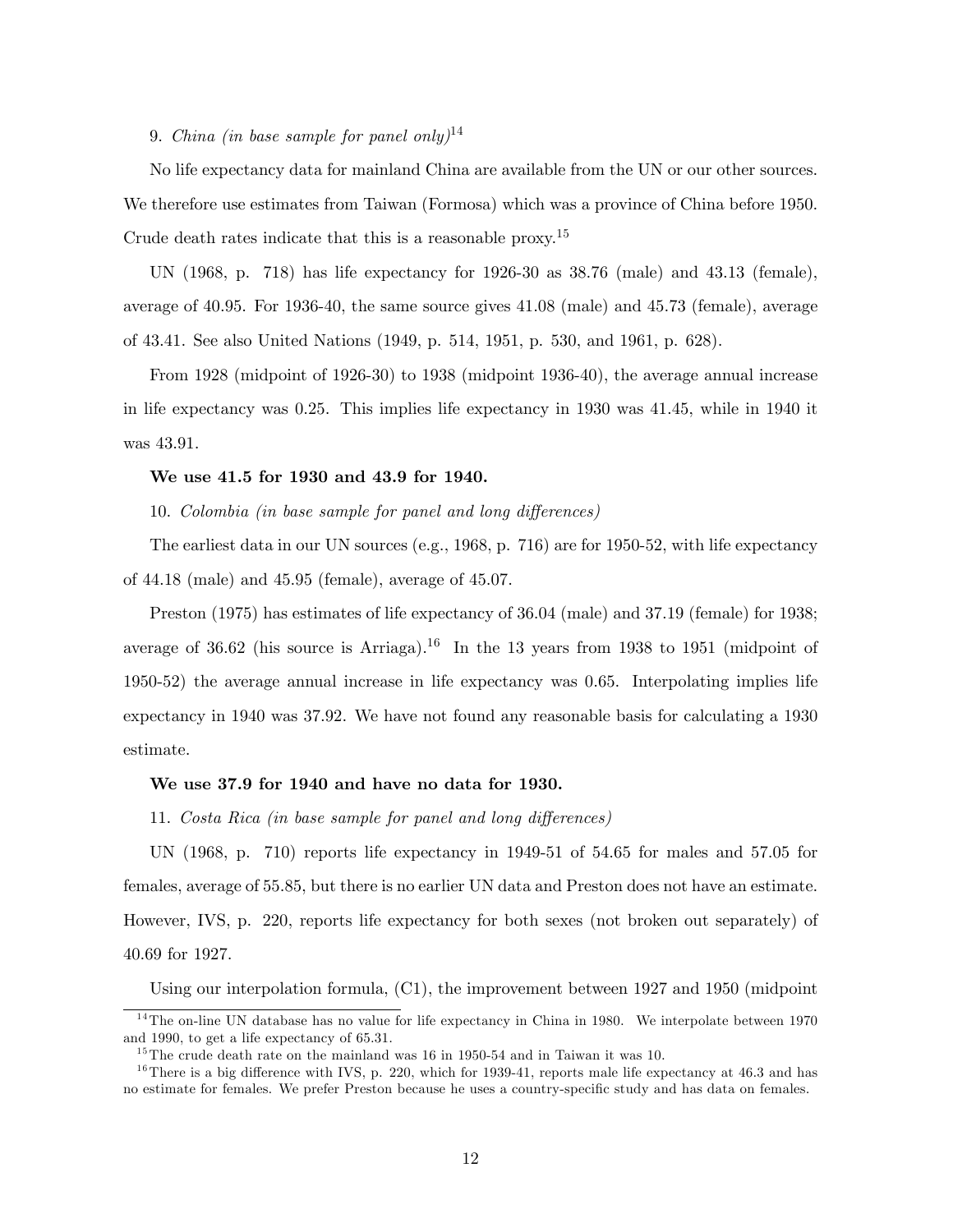# 9. China (in base sample for panel only)<sup>14</sup>

No life expectancy data for mainland China are available from the UN or our other sources. We therefore use estimates from Taiwan (Formosa) which was a province of China before 1950. Crude death rates indicate that this is a reasonable proxy.<sup>15</sup>

UN (1968, p. 718) has life expectancy for 1926-30 as 38.76 (male) and 43.13 (female), average of 40.95. For 1936-40, the same source gives 41.08 (male) and 45.73 (female), average of 43.41. See also United Nations (1949, p. 514, 1951, p. 530, and 1961, p. 628).

From 1928 (midpoint of 1926-30) to 1938 (midpoint 1936-40), the average annual increase in life expectancy was 0.25. This implies life expectancy in 1930 was 41.45, while in 1940 it was 43.91.

# We use 41.5 for 1930 and 43.9 for 1940.

10. Colombia (in base sample for panel and long differences)

The earliest data in our UN sources (e.g., 1968, p. 716) are for 1950-52, with life expectancy of 44.18 (male) and 45.95 (female), average of 45.07.

Preston (1975) has estimates of life expectancy of 36.04 (male) and 37.19 (female) for 1938; average of 36.62 (his source is Arriaga).<sup>16</sup> In the 13 years from 1938 to 1951 (midpoint of 1950-52) the average annual increase in life expectancy was 0.65. Interpolating implies life expectancy in 1940 was 37.92. We have not found any reasonable basis for calculating a 1930 estimate.

#### We use 37.9 for 1940 and have no data for 1930.

11. Costa Rica (in base sample for panel and long differences)

UN (1968, p. 710) reports life expectancy in 1949-51 of 54.65 for males and 57.05 for females, average of 55.85, but there is no earlier UN data and Preston does not have an estimate. However, IVS, p. 220, reports life expectancy for both sexes (not broken out separately) of 40.69 for 1927.

Using our interpolation formula, (C1), the improvement between 1927 and 1950 (midpoint

 $14$ The on-line UN database has no value for life expectancy in China in 1980. We interpolate between 1970 and 1990, to get a life expectancy of 65.31.

 $15$ The crude death rate on the mainland was 16 in 1950-54 and in Taiwan it was 10.

 $16$ There is a big difference with IVS, p. 220, which for 1939-41, reports male life expectancy at 46.3 and has no estimate for females. We prefer Preston because he uses a country-specific study and has data on females.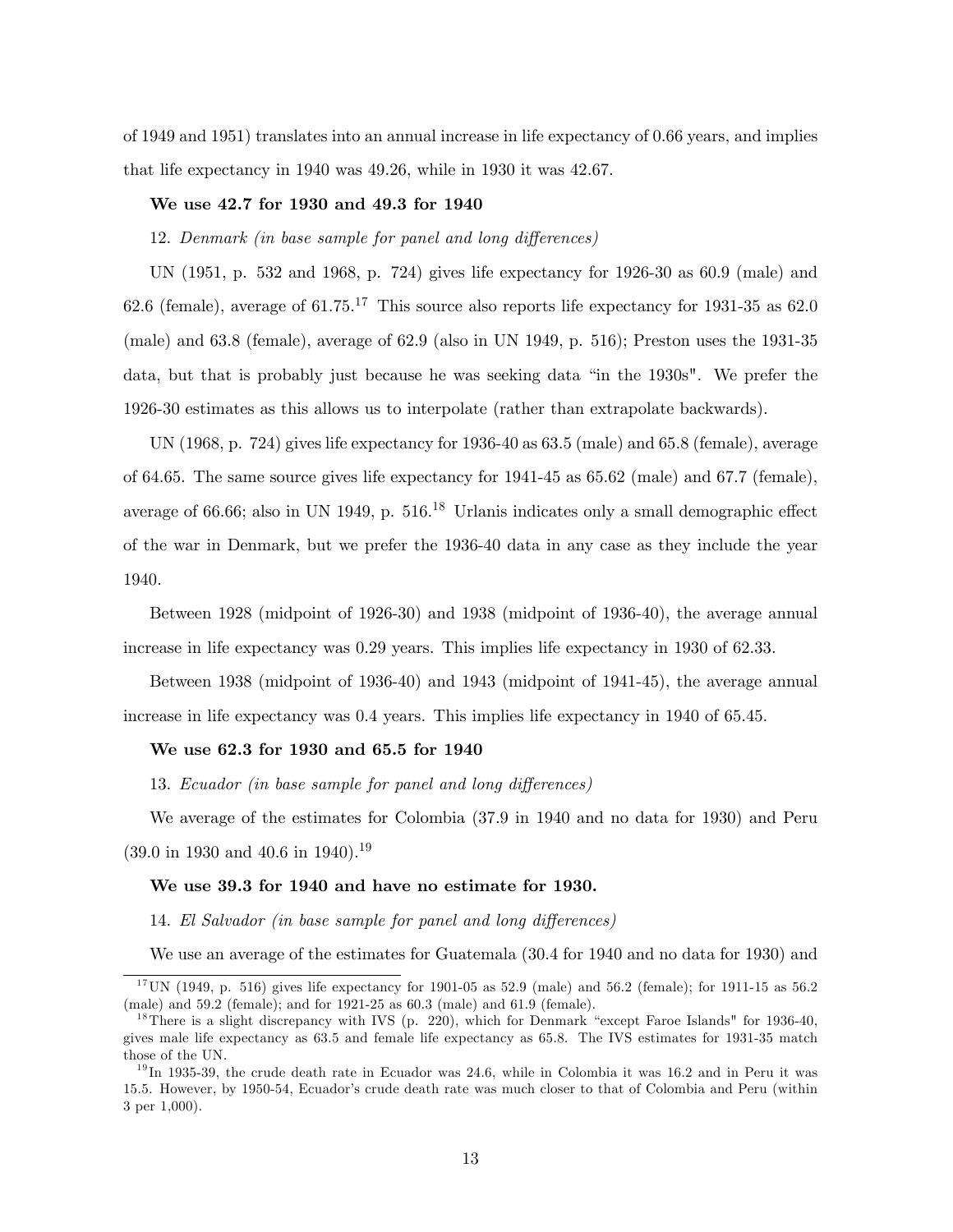of 1949 and 1951) translates into an annual increase in life expectancy of 0.66 years, and implies that life expectancy in 1940 was 49.26, while in 1930 it was 42.67.

# We use 42.7 for 1930 and 49.3 for 1940

12. Denmark (in base sample for panel and long differences)

UN (1951, p. 532 and 1968, p. 724) gives life expectancy for 1926-30 as 60.9 (male) and 62.6 (female), average of  $61.75^{17}$  This source also reports life expectancy for 1931-35 as 62.0 (male) and 63.8 (female), average of 62.9 (also in UN 1949, p. 516); Preston uses the 1931-35 data, but that is probably just because he was seeking data "in the 1930s". We prefer the 1926-30 estimates as this allows us to interpolate (rather than extrapolate backwards).

UN (1968, p. 724) gives life expectancy for 1936-40 as 63.5 (male) and 65.8 (female), average of 64.65. The same source gives life expectancy for 1941-45 as 65.62 (male) and 67.7 (female), average of 66.66; also in UN 1949, p.  $516^{18}$  Urlanis indicates only a small demographic effect of the war in Denmark, but we prefer the 1936-40 data in any case as they include the year 1940.

Between 1928 (midpoint of 1926-30) and 1938 (midpoint of 1936-40), the average annual increase in life expectancy was 0.29 years. This implies life expectancy in 1930 of 62.33.

Between 1938 (midpoint of 1936-40) and 1943 (midpoint of 1941-45), the average annual increase in life expectancy was 0.4 years. This implies life expectancy in 1940 of 65.45.

#### We use 62.3 for 1930 and 65.5 for 1940

13. Ecuador (in base sample for panel and long differences)

We average of the estimates for Colombia (37.9 in 1940 and no data for 1930) and Peru  $(39.0 \text{ in } 1930 \text{ and } 40.6 \text{ in } 1940).$ <sup>19</sup>

#### We use 39.3 for 1940 and have no estimate for 1930.

14. El Salvador (in base sample for panel and long differences)

We use an average of the estimates for Guatemala (30.4 for 1940 and no data for 1930) and

<sup>&</sup>lt;sup>17</sup> UN (1949, p. 516) gives life expectancy for 1901-05 as 52.9 (male) and 56.2 (female); for 1911-15 as 56.2 (male) and 59.2 (female); and for 1921-25 as 60.3 (male) and 61.9 (female).

<sup>&</sup>lt;sup>18</sup>There is a slight discrepancy with IVS (p. 220), which for Denmark "except Faroe Islands" for 1936-40, gives male life expectancy as 63.5 and female life expectancy as 65.8. The IVS estimates for 1931-35 match those of the UN.

 $^{19}$ In 1935-39, the crude death rate in Ecuador was 24.6, while in Colombia it was 16.2 and in Peru it was 15.5. However, by 1950-54, Ecuador's crude death rate was much closer to that of Colombia and Peru (within 3 per 1,000).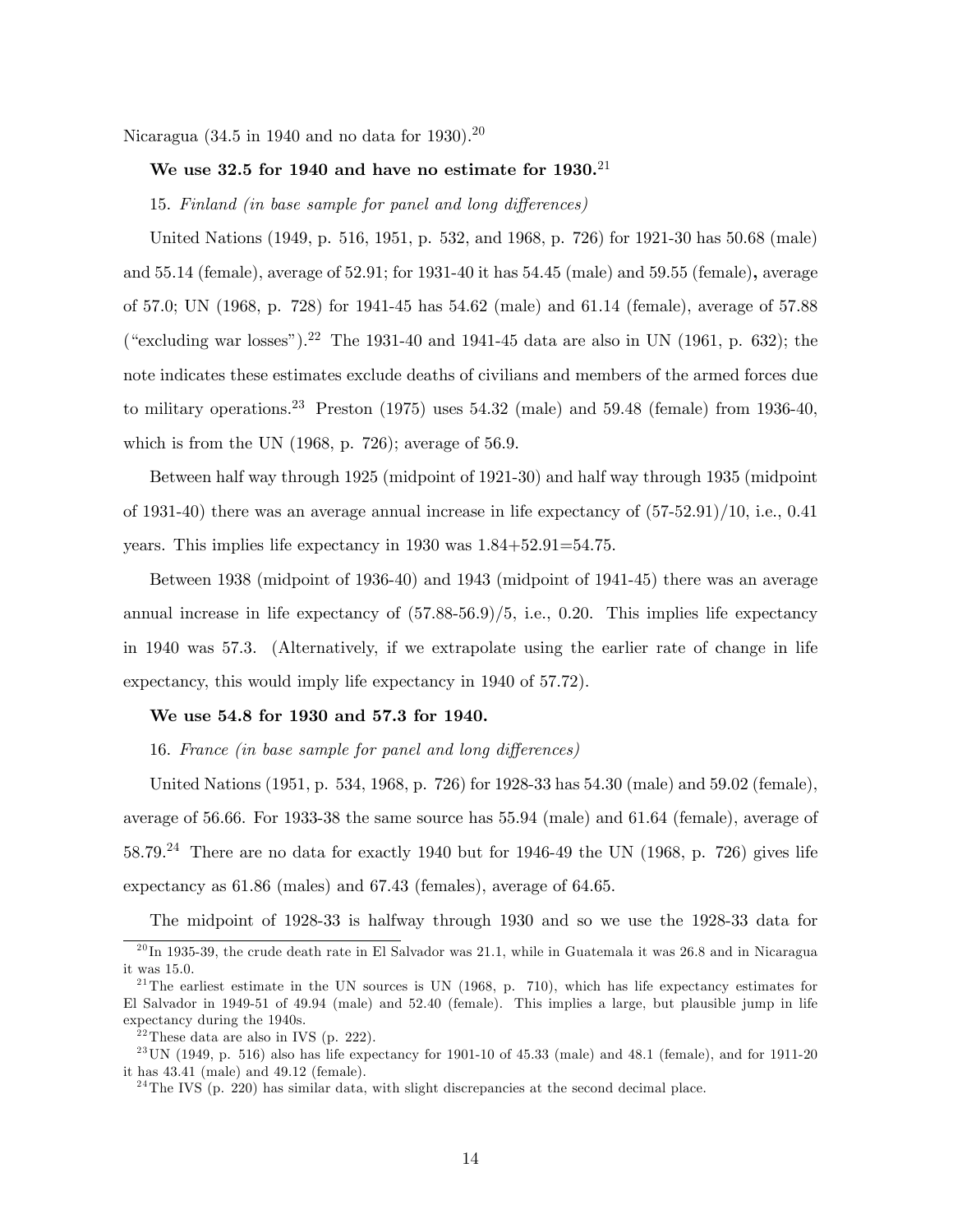Nicaragua (34.5 in 1940 and no data for 1930).<sup>20</sup>

# We use 32.5 for 1940 and have no estimate for  $1930.^{21}$

15. Finland (in base sample for panel and long differences)

United Nations (1949, p. 516, 1951, p. 532, and 1968, p. 726) for 1921-30 has 50.68 (male) and 55.14 (female), average of 52.91; for 1931-40 it has 54.45 (male) and 59.55 (female), average of 57.0; UN (1968, p. 728) for 1941-45 has 54.62 (male) and 61.14 (female), average of 57.88 ("excluding war losses").<sup>22</sup> The 1931-40 and 1941-45 data are also in UN (1961, p. 632); the note indicates these estimates exclude deaths of civilians and members of the armed forces due to military operations.<sup>23</sup> Preston (1975) uses  $54.32$  (male) and  $59.48$  (female) from 1936-40, which is from the UN  $(1968, p. 726)$ ; average of 56.9.

Between half way through 1925 (midpoint of 1921-30) and half way through 1935 (midpoint of 1931-40) there was an average annual increase in life expectancy of (57-52.91)/10, i.e., 0.41 years. This implies life expectancy in 1930 was 1.84+52.91=54.75.

Between 1938 (midpoint of 1936-40) and 1943 (midpoint of 1941-45) there was an average annual increase in life expectancy of (57.88-56.9)/5, i.e., 0.20. This implies life expectancy in 1940 was 57.3. (Alternatively, if we extrapolate using the earlier rate of change in life expectancy, this would imply life expectancy in 1940 of 57.72).

#### We use 54.8 for 1930 and 57.3 for 1940.

16. France (in base sample for panel and long differences)

United Nations (1951, p. 534, 1968, p. 726) for 1928-33 has 54.30 (male) and 59.02 (female), average of 56.66. For 1933-38 the same source has 55.94 (male) and 61.64 (female), average of 58.79.<sup>24</sup> There are no data for exactly 1940 but for 1946-49 the UN (1968, p. 726) gives life expectancy as 61.86 (males) and 67.43 (females), average of 64.65.

The midpoint of 1928-33 is halfway through 1930 and so we use the 1928-33 data for

 $^{20}$ In 1935-39, the crude death rate in El Salvador was 21.1, while in Guatemala it was 26.8 and in Nicaragua it was 15.0.

<sup>&</sup>lt;sup>21</sup>The earliest estimate in the UN sources is UN (1968, p. 710), which has life expectancy estimates for El Salvador in 1949-51 of 49.94 (male) and 52.40 (female). This implies a large, but plausible jump in life expectancy during the 1940s.

 $22$  These data are also in IVS (p. 222).

 $^{23}$  UN (1949, p. 516) also has life expectancy for 1901-10 of 45.33 (male) and 48.1 (female), and for 1911-20 it has 43.41 (male) and 49.12 (female).

 $^{24}$ The IVS (p. 220) has similar data, with slight discrepancies at the second decimal place.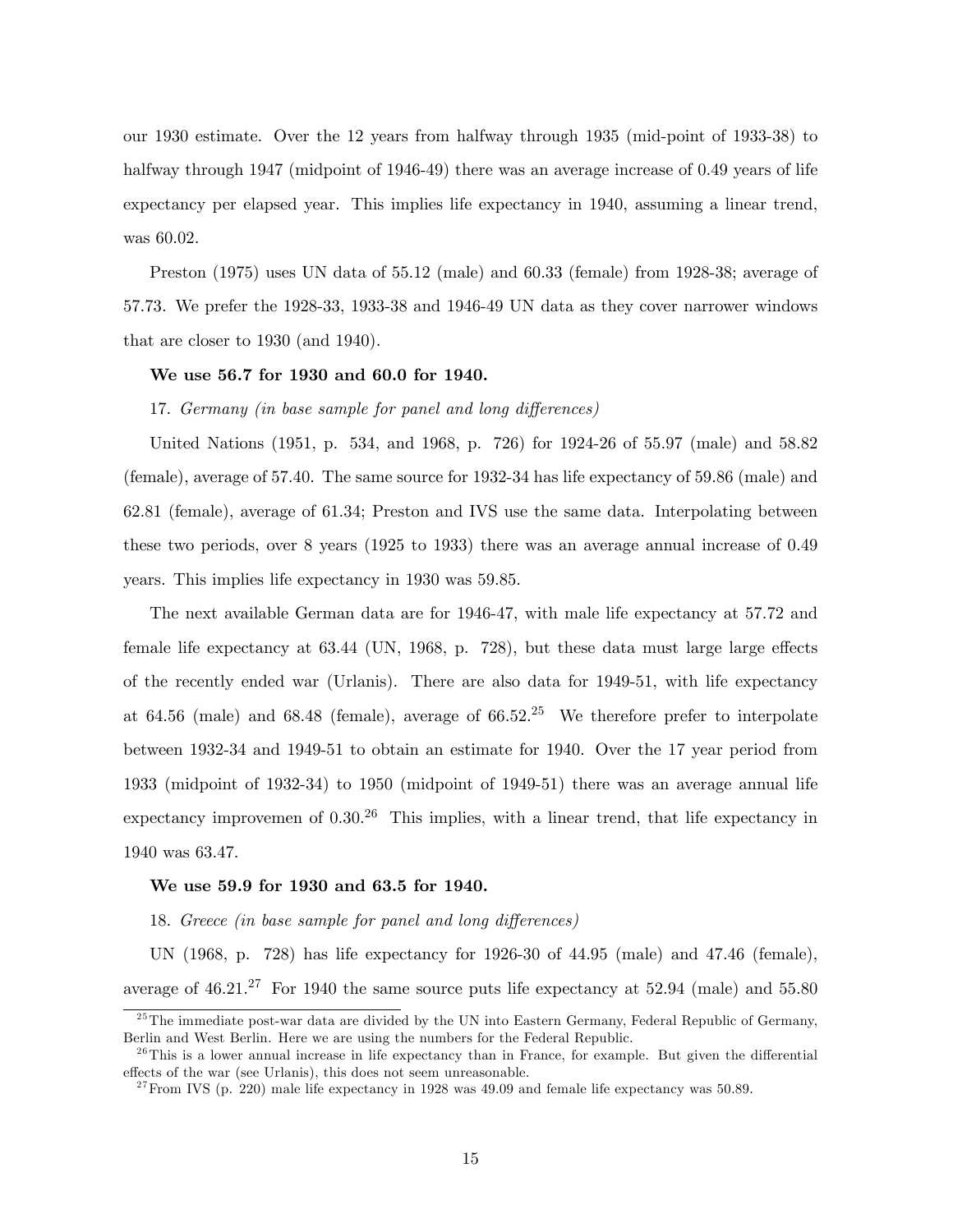our 1930 estimate. Over the 12 years from halfway through 1935 (mid-point of 1933-38) to halfway through 1947 (midpoint of 1946-49) there was an average increase of 0.49 years of life expectancy per elapsed year. This implies life expectancy in 1940, assuming a linear trend, was 60.02.

Preston (1975) uses UN data of 55.12 (male) and 60.33 (female) from 1928-38; average of 57.73. We prefer the 1928-33, 1933-38 and 1946-49 UN data as they cover narrower windows that are closer to 1930 (and 1940).

# We use 56.7 for 1930 and 60.0 for 1940.

17. Germany (in base sample for panel and long differences)

United Nations (1951, p. 534, and 1968, p. 726) for 1924-26 of 55.97 (male) and 58.82 (female), average of 57.40. The same source for 1932-34 has life expectancy of 59.86 (male) and 62.81 (female), average of 61.34; Preston and IVS use the same data. Interpolating between these two periods, over 8 years (1925 to 1933) there was an average annual increase of 0.49 years. This implies life expectancy in 1930 was 59.85.

The next available German data are for 1946-47, with male life expectancy at 57.72 and female life expectancy at  $63.44$  (UN, 1968, p. 728), but these data must large large effects of the recently ended war (Urlanis). There are also data for 1949-51, with life expectancy at 64.56 (male) and 68.48 (female), average of  $66.52<sup>25</sup>$  We therefore prefer to interpolate between 1932-34 and 1949-51 to obtain an estimate for 1940. Over the 17 year period from 1933 (midpoint of 1932-34) to 1950 (midpoint of 1949-51) there was an average annual life expectancy improvemen of  $0.30^{26}$  This implies, with a linear trend, that life expectancy in 1940 was 63.47.

#### We use 59.9 for 1930 and 63.5 for 1940.

18. Greece (in base sample for panel and long differences)

UN (1968, p. 728) has life expectancy for 1926-30 of 44.95 (male) and 47.46 (female), average of  $46.21^{27}$  For 1940 the same source puts life expectancy at  $52.94$  (male) and  $55.80$ 

<sup>&</sup>lt;sup>25</sup> The immediate post-war data are divided by the UN into Eastern Germany, Federal Republic of Germany, Berlin and West Berlin. Here we are using the numbers for the Federal Republic.

 $^{26}$ This is a lower annual increase in life expectancy than in France, for example. But given the differential effects of the war (see Urlanis), this does not seem unreasonable.

<sup>&</sup>lt;sup>27</sup> From IVS (p. 220) male life expectancy in 1928 was  $49.09$  and female life expectancy was  $50.89$ .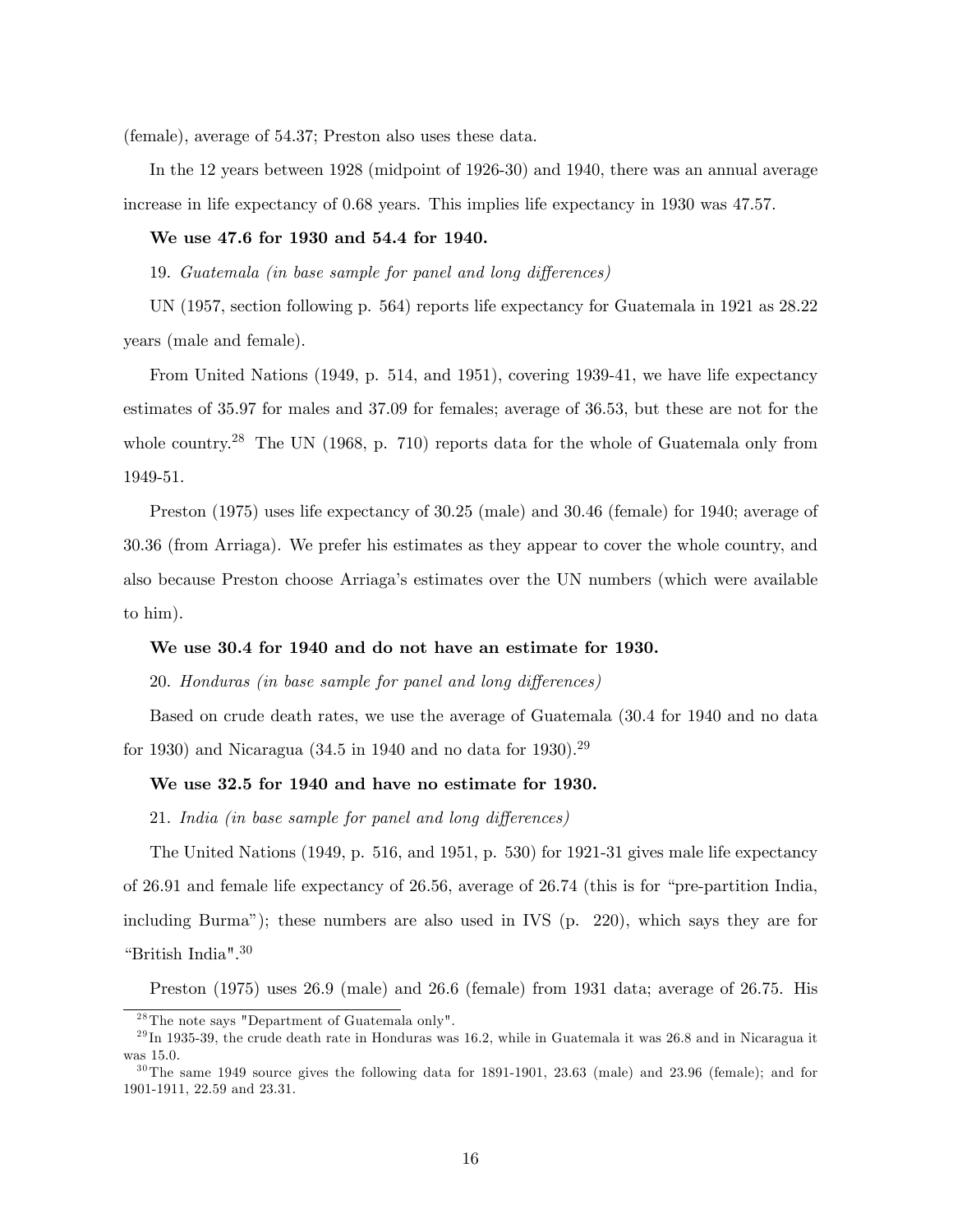(female), average of 54.37; Preston also uses these data.

In the 12 years between 1928 (midpoint of 1926-30) and 1940, there was an annual average increase in life expectancy of 0.68 years. This implies life expectancy in 1930 was 47.57.

# We use 47.6 for 1930 and 54.4 for 1940.

19. Guatemala (in base sample for panel and long differences)

UN (1957, section following p. 564) reports life expectancy for Guatemala in 1921 as 28.22 years (male and female).

From United Nations (1949, p. 514, and 1951), covering 1939-41, we have life expectancy estimates of 35.97 for males and 37.09 for females; average of 36.53, but these are not for the whole country.<sup>28</sup> The UN (1968, p. 710) reports data for the whole of Guatemala only from 1949-51.

Preston (1975) uses life expectancy of 30.25 (male) and 30.46 (female) for 1940; average of 30.36 (from Arriaga). We prefer his estimates as they appear to cover the whole country, and also because Preston choose Arriagaís estimates over the UN numbers (which were available to him).

#### We use 30.4 for 1940 and do not have an estimate for 1930.

20. Honduras (in base sample for panel and long differences)

Based on crude death rates, we use the average of Guatemala (30.4 for 1940 and no data for 1930) and Nicaragua (34.5 in 1940 and no data for 1930).<sup>29</sup>

#### We use 32.5 for 1940 and have no estimate for 1930.

21. India (in base sample for panel and long differences)

The United Nations (1949, p. 516, and 1951, p. 530) for 1921-31 gives male life expectancy of 26.91 and female life expectancy of 26.56, average of  $26.74$  (this is for "pre-partition India, including Burmaî); these numbers are also used in IVS (p. 220), which says they are for "British India".<sup>30</sup>

Preston (1975) uses 26.9 (male) and 26.6 (female) from 1931 data; average of 26.75. His

 $2^8$ The note says "Department of Guatemala only".

 $^{29}$ In 1935-39, the crude death rate in Honduras was 16.2, while in Guatemala it was 26.8 and in Nicaragua it was 15.0.

 $30$ The same 1949 source gives the following data for 1891-1901, 23.63 (male) and 23.96 (female); and for 1901-1911, 22.59 and 23.31.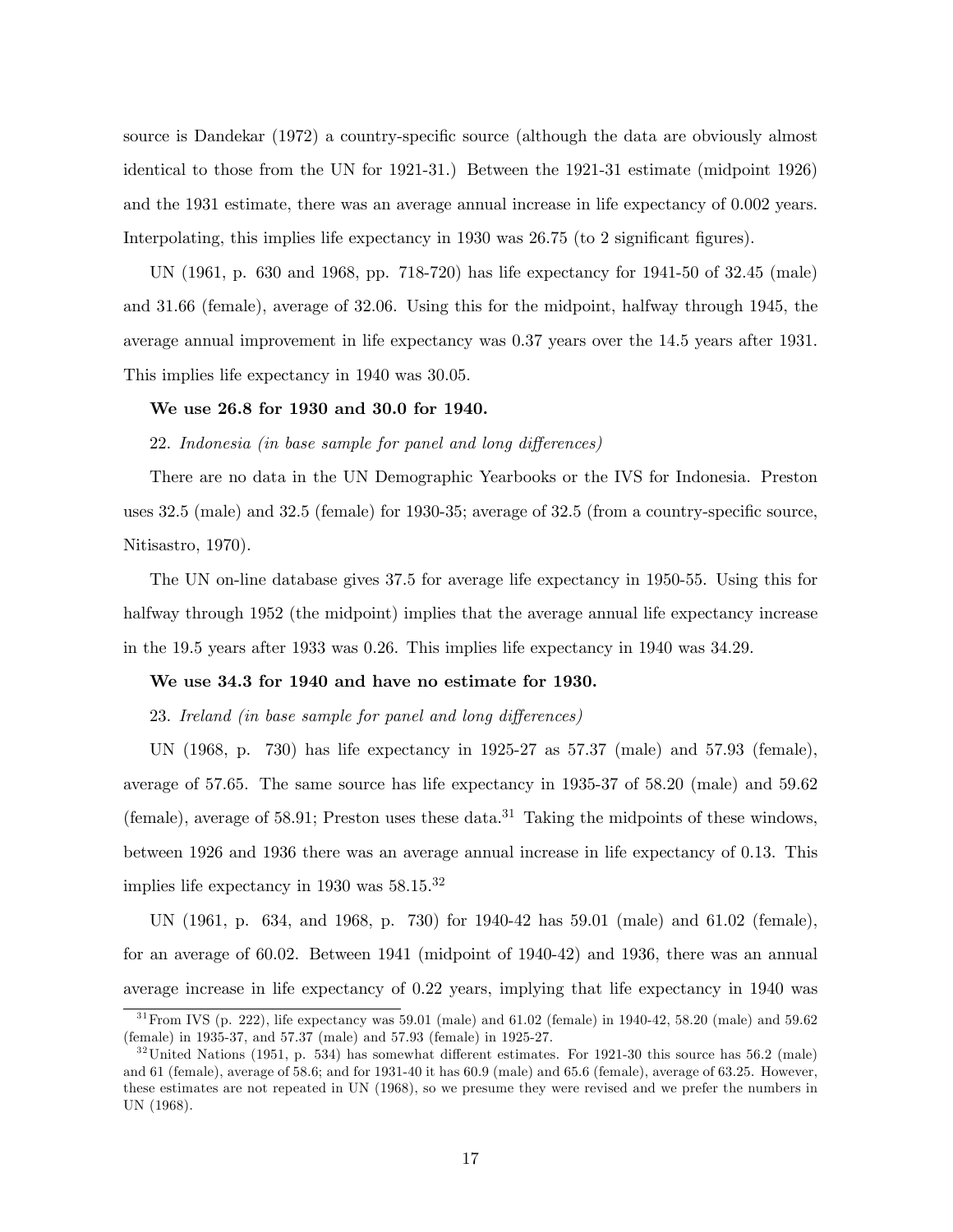source is Dandekar (1972) a country-specific source (although the data are obviously almost identical to those from the UN for 1921-31.) Between the 1921-31 estimate (midpoint 1926) and the 1931 estimate, there was an average annual increase in life expectancy of 0.002 years. Interpolating, this implies life expectancy in  $1930$  was  $26.75$  (to 2 significant figures).

UN (1961, p. 630 and 1968, pp. 718-720) has life expectancy for 1941-50 of 32.45 (male) and 31.66 (female), average of 32.06. Using this for the midpoint, halfway through 1945, the average annual improvement in life expectancy was 0.37 years over the 14.5 years after 1931. This implies life expectancy in 1940 was 30.05.

# We use 26.8 for 1930 and 30.0 for 1940.

#### 22. Indonesia (in base sample for panel and long differences)

There are no data in the UN Demographic Yearbooks or the IVS for Indonesia. Preston uses  $32.5 \text{ (male)}$  and  $32.5 \text{ (female)}$  for  $1930-35$ ; average of  $32.5 \text{ (from a country-specific source)}$ Nitisastro, 1970).

The UN on-line database gives 37.5 for average life expectancy in 1950-55. Using this for halfway through 1952 (the midpoint) implies that the average annual life expectancy increase in the 19.5 years after 1933 was 0.26. This implies life expectancy in 1940 was 34.29.

#### We use 34.3 for 1940 and have no estimate for 1930.

23. Ireland (in base sample for panel and long differences)

UN (1968, p. 730) has life expectancy in 1925-27 as 57.37 (male) and 57.93 (female), average of 57.65. The same source has life expectancy in 1935-37 of 58.20 (male) and 59.62 (female), average of 58.91; Preston uses these data.<sup>31</sup> Taking the midpoints of these windows, between 1926 and 1936 there was an average annual increase in life expectancy of 0.13. This implies life expectancy in 1930 was 58.15.<sup>32</sup>

UN (1961, p. 634, and 1968, p. 730) for 1940-42 has 59.01 (male) and 61.02 (female), for an average of 60.02. Between 1941 (midpoint of 1940-42) and 1936, there was an annual average increase in life expectancy of 0.22 years, implying that life expectancy in 1940 was

 $31$  From IVS (p. 222), life expectancy was 59.01 (male) and 61.02 (female) in 1940-42, 58.20 (male) and 59.62 (female) in 1935-37, and 57.37 (male) and 57.93 (female) in 1925-27.

 $32$ United Nations (1951, p. 534) has somewhat different estimates. For 1921-30 this source has 56.2 (male) and 61 (female), average of 58.6; and for 1931-40 it has 60.9 (male) and 65.6 (female), average of 63.25. However, these estimates are not repeated in UN (1968), so we presume they were revised and we prefer the numbers in UN (1968).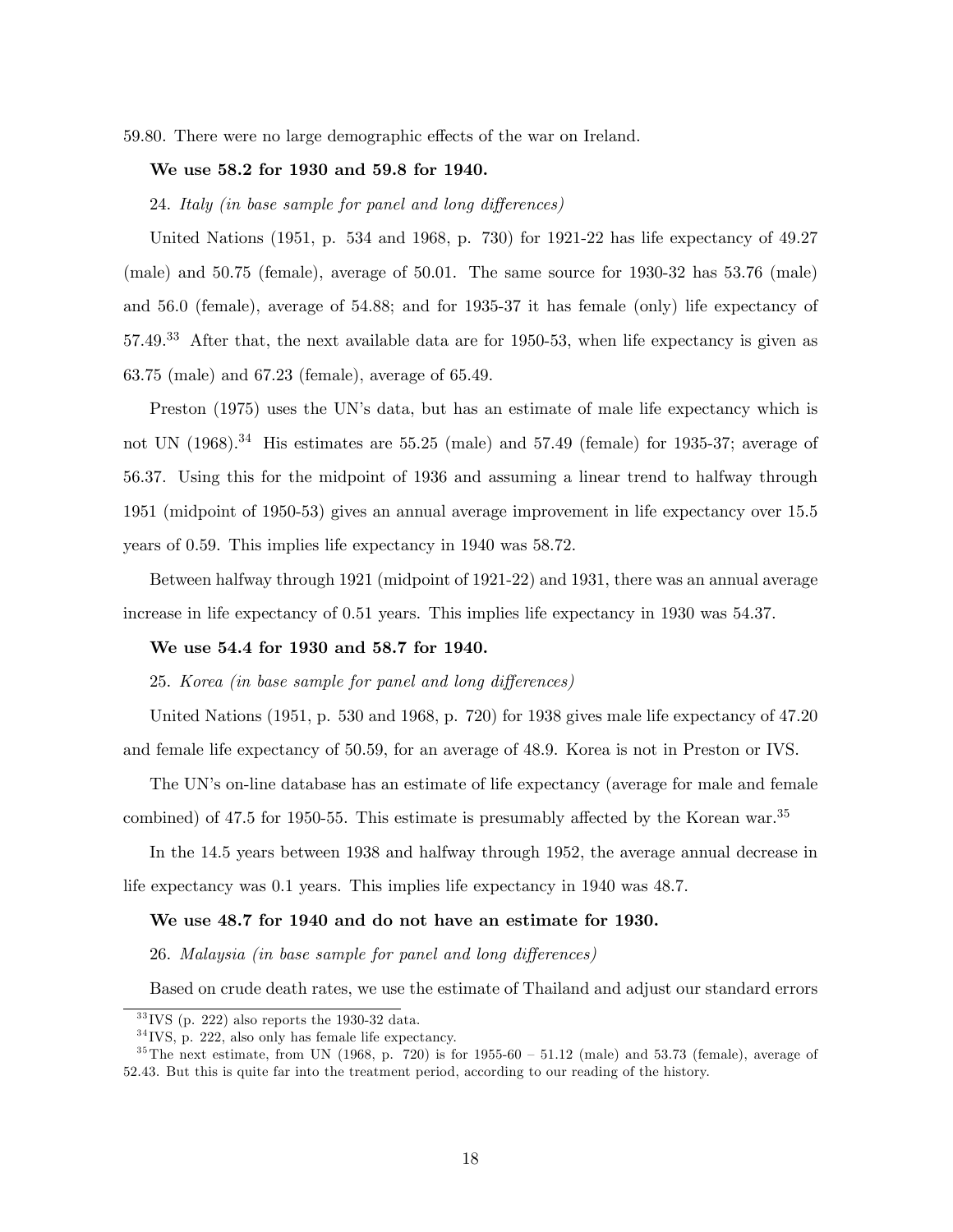59.80. There were no large demographic effects of the war on Ireland.

# We use 58.2 for 1930 and 59.8 for 1940.

24. Italy (in base sample for panel and long differences)

United Nations (1951, p. 534 and 1968, p. 730) for 1921-22 has life expectancy of 49.27 (male) and 50.75 (female), average of 50.01. The same source for 1930-32 has 53.76 (male) and 56.0 (female), average of 54.88; and for 1935-37 it has female (only) life expectancy of 57.49.<sup>33</sup> After that, the next available data are for 1950-53, when life expectancy is given as 63.75 (male) and 67.23 (female), average of 65.49.

Preston (1975) uses the UN's data, but has an estimate of male life expectancy which is not UN  $(1968).^{34}$  His estimates are 55.25 (male) and 57.49 (female) for 1935-37; average of 56.37. Using this for the midpoint of 1936 and assuming a linear trend to halfway through 1951 (midpoint of 1950-53) gives an annual average improvement in life expectancy over 15.5 years of 0.59. This implies life expectancy in 1940 was 58.72.

Between halfway through 1921 (midpoint of 1921-22) and 1931, there was an annual average increase in life expectancy of 0.51 years. This implies life expectancy in 1930 was 54.37.

# We use 54.4 for 1930 and 58.7 for 1940.

25. Korea (in base sample for panel and long differences)

United Nations (1951, p. 530 and 1968, p. 720) for 1938 gives male life expectancy of 47.20 and female life expectancy of 50.59, for an average of 48.9. Korea is not in Preston or IVS.

The UN's on-line database has an estimate of life expectancy (average for male and female

combined) of 47.5 for 1950-55. This estimate is presumably affected by the Korean war.<sup>35</sup>

In the 14.5 years between 1938 and halfway through 1952, the average annual decrease in life expectancy was 0.1 years. This implies life expectancy in 1940 was 48.7.

#### We use 48.7 for 1940 and do not have an estimate for 1930.

26. Malaysia (in base sample for panel and long differences)

Based on crude death rates, we use the estimate of Thailand and adjust our standard errors

 $33$  IVS (p. 222) also reports the 1930-32 data.

 $34$  IVS, p. 222, also only has female life expectancy.

<sup>&</sup>lt;sup>35</sup>The next estimate, from UN (1968, p. 720) is for  $1955-60 - 51.12$  (male) and 53.73 (female), average of 52.43. But this is quite far into the treatment period, according to our reading of the history.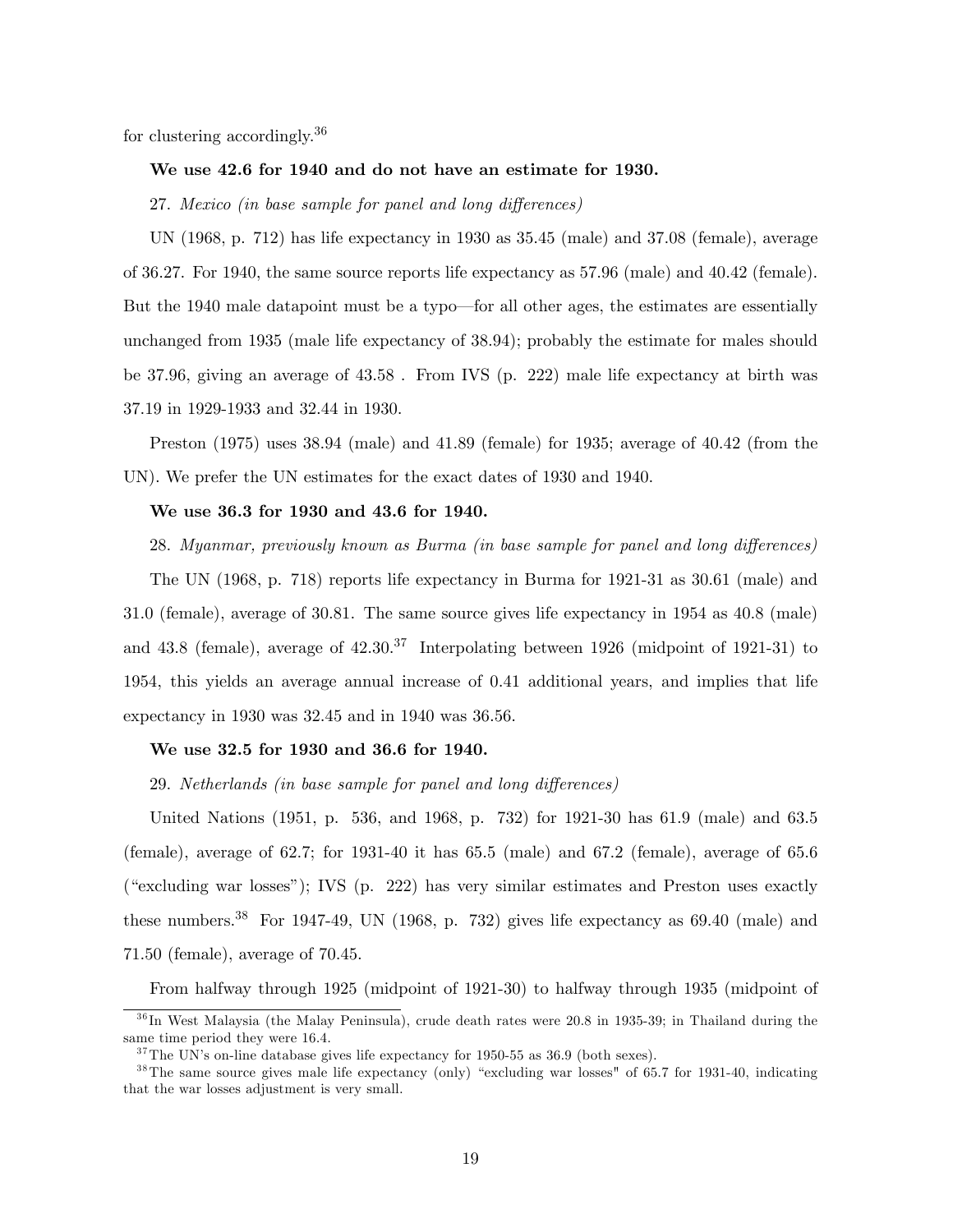for clustering accordingly.<sup>36</sup>

# We use 42.6 for 1940 and do not have an estimate for 1930.

27. Mexico (in base sample for panel and long differences)

UN (1968, p. 712) has life expectancy in 1930 as 35.45 (male) and 37.08 (female), average of 36.27. For 1940, the same source reports life expectancy as 57.96 (male) and 40.42 (female). But the 1940 male datapoint must be a typo—for all other ages, the estimates are essentially unchanged from 1935 (male life expectancy of 38.94); probably the estimate for males should be 37.96, giving an average of 43.58 . From IVS (p. 222) male life expectancy at birth was 37.19 in 1929-1933 and 32.44 in 1930.

Preston (1975) uses 38.94 (male) and 41.89 (female) for 1935; average of 40.42 (from the UN). We prefer the UN estimates for the exact dates of 1930 and 1940.

# We use 36.3 for 1930 and 43.6 for 1940.

28. Myanmar, previously known as Burma (in base sample for panel and long differences)

The UN (1968, p. 718) reports life expectancy in Burma for 1921-31 as 30.61 (male) and 31.0 (female), average of 30.81. The same source gives life expectancy in 1954 as 40.8 (male) and 43.8 (female), average of  $42.30^{37}$  Interpolating between 1926 (midpoint of 1921-31) to 1954, this yields an average annual increase of 0.41 additional years, and implies that life expectancy in 1930 was 32.45 and in 1940 was 36.56.

#### We use 32.5 for 1930 and 36.6 for 1940.

29. Netherlands (in base sample for panel and long differences)

United Nations (1951, p. 536, and 1968, p. 732) for 1921-30 has 61.9 (male) and 63.5 (female), average of 62.7; for 1931-40 it has 65.5 (male) and 67.2 (female), average of 65.6  $(*csculating war losses$ <sup>"</sup>); IVS  $(p. 222)$  has very similar estimates and Preston uses exactly these numbers.<sup>38</sup> For 1947-49, UN (1968, p. 732) gives life expectancy as  $69.40$  (male) and 71.50 (female), average of 70.45.

From halfway through 1925 (midpoint of 1921-30) to halfway through 1935 (midpoint of

 $36$  In West Malaysia (the Malay Peninsula), crude death rates were 20.8 in 1935-39; in Thailand during the same time period they were 16.4.

 $37$ The UN's on-line database gives life expectancy for 1950-55 as 36.9 (both sexes).

 $38$ The same source gives male life expectancy (only) "excluding war losses" of 65.7 for 1931-40, indicating that the war losses adjustment is very small.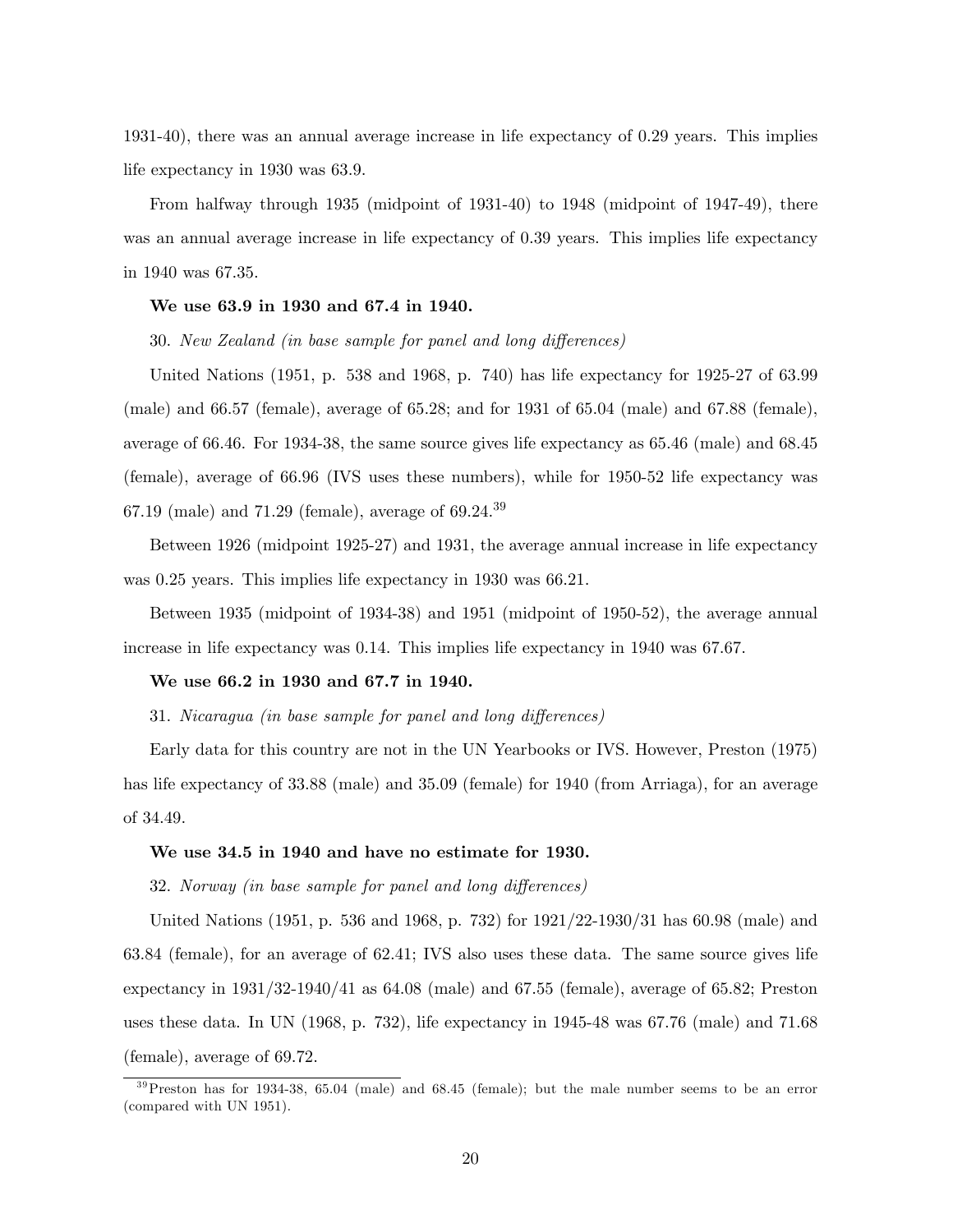1931-40), there was an annual average increase in life expectancy of 0.29 years. This implies life expectancy in 1930 was 63.9.

From halfway through 1935 (midpoint of 1931-40) to 1948 (midpoint of 1947-49), there was an annual average increase in life expectancy of 0.39 years. This implies life expectancy in 1940 was 67.35.

## We use 63.9 in 1930 and 67.4 in 1940.

30. New Zealand (in base sample for panel and long differences)

United Nations (1951, p. 538 and 1968, p. 740) has life expectancy for 1925-27 of 63.99 (male) and 66.57 (female), average of 65.28; and for 1931 of 65.04 (male) and 67.88 (female), average of 66.46. For 1934-38, the same source gives life expectancy as 65.46 (male) and 68.45 (female), average of 66.96 (IVS uses these numbers), while for 1950-52 life expectancy was 67.19 (male) and 71.29 (female), average of  $69.24.^{39}$ 

Between 1926 (midpoint 1925-27) and 1931, the average annual increase in life expectancy was 0.25 years. This implies life expectancy in 1930 was 66.21.

Between 1935 (midpoint of 1934-38) and 1951 (midpoint of 1950-52), the average annual increase in life expectancy was 0.14. This implies life expectancy in 1940 was 67.67.

#### We use 66.2 in 1930 and 67.7 in 1940.

31. Nicaragua (in base sample for panel and long differences)

Early data for this country are not in the UN Yearbooks or IVS. However, Preston (1975) has life expectancy of 33.88 (male) and 35.09 (female) for 1940 (from Arriaga), for an average of 34.49.

#### We use 34.5 in 1940 and have no estimate for 1930.

32. Norway (in base sample for panel and long differences)

United Nations (1951, p. 536 and 1968, p. 732) for 1921/22-1930/31 has 60.98 (male) and 63.84 (female), for an average of 62.41; IVS also uses these data. The same source gives life expectancy in  $1931/32-1940/41$  as  $64.08$  (male) and  $67.55$  (female), average of  $65.82$ ; Preston uses these data. In UN (1968, p. 732), life expectancy in 1945-48 was 67.76 (male) and 71.68 (female), average of 69.72.

 $39$ Preston has for 1934-38, 65.04 (male) and 68.45 (female); but the male number seems to be an error (compared with UN 1951).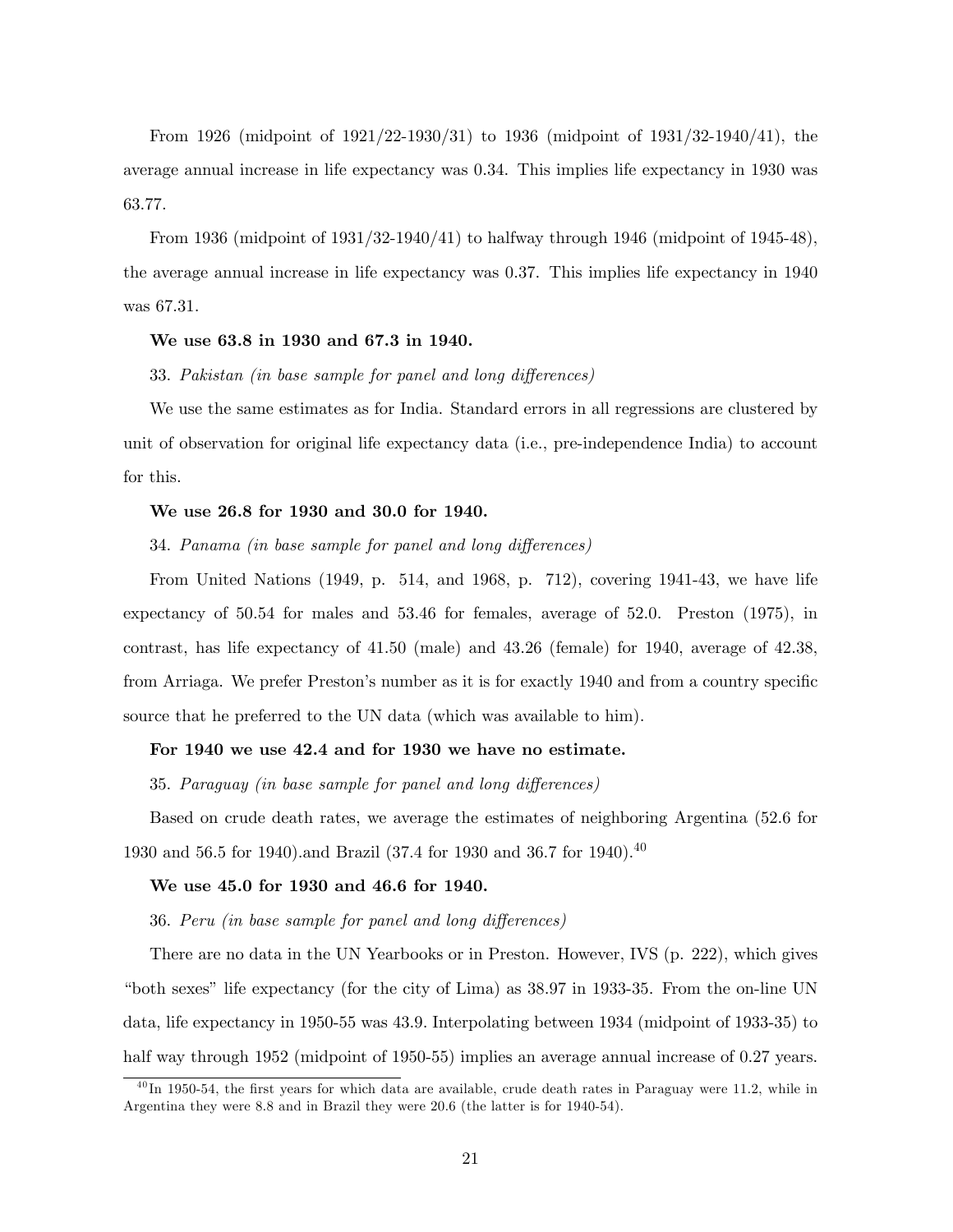From 1926 (midpoint of 1921/22-1930/31) to 1936 (midpoint of 1931/32-1940/41), the average annual increase in life expectancy was 0.34. This implies life expectancy in 1930 was 63.77.

From 1936 (midpoint of 1931/32-1940/41) to halfway through 1946 (midpoint of 1945-48), the average annual increase in life expectancy was 0.37. This implies life expectancy in 1940 was 67.31.

#### We use 63.8 in 1930 and 67.3 in 1940.

33. Pakistan (in base sample for panel and long differences)

We use the same estimates as for India. Standard errors in all regressions are clustered by unit of observation for original life expectancy data (i.e., pre-independence India) to account for this.

# We use 26.8 for 1930 and 30.0 for 1940.

34. Panama (in base sample for panel and long differences)

From United Nations (1949, p. 514, and 1968, p. 712), covering 1941-43, we have life expectancy of 50.54 for males and 53.46 for females, average of 52.0. Preston (1975), in contrast, has life expectancy of 41.50 (male) and 43.26 (female) for 1940, average of 42.38, from Arriaga. We prefer Preston's number as it is for exactly 1940 and from a country specific source that he preferred to the UN data (which was available to him).

#### For 1940 we use 42.4 and for 1930 we have no estimate.

35. Paraguay (in base sample for panel and long differences)

Based on crude death rates, we average the estimates of neighboring Argentina (52.6 for 1930 and 56.5 for 1940). and Brazil (37.4 for 1930 and 36.7 for 1940). <sup>40</sup>

#### We use 45.0 for 1930 and 46.6 for 1940.

36. Peru (in base sample for panel and long differences)

There are no data in the UN Yearbooks or in Preston. However, IVS (p. 222), which gives "both sexes" life expectancy (for the city of Lima) as  $38.97$  in 1933-35. From the on-line UN data, life expectancy in 1950-55 was 43.9. Interpolating between 1934 (midpoint of 1933-35) to half way through 1952 (midpoint of 1950-55) implies an average annual increase of 0.27 years.

 $^{40}$ In 1950-54, the first years for which data are available, crude death rates in Paraguay were 11.2, while in Argentina they were 8.8 and in Brazil they were 20.6 (the latter is for 1940-54).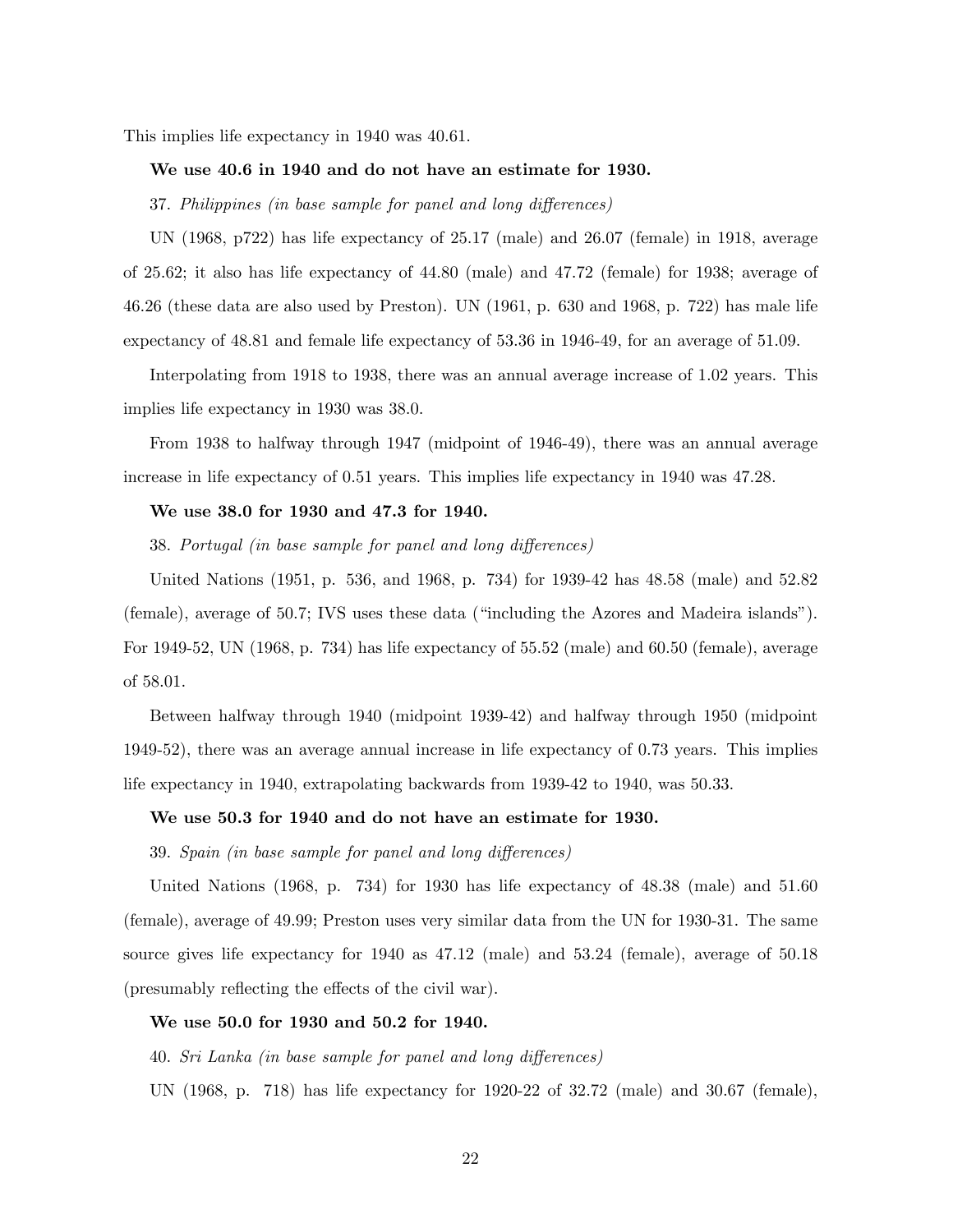This implies life expectancy in 1940 was 40.61.

# We use 40.6 in 1940 and do not have an estimate for 1930.

37. Philippines (in base sample for panel and long differences)

UN (1968, p722) has life expectancy of 25.17 (male) and 26.07 (female) in 1918, average of 25.62; it also has life expectancy of 44.80 (male) and 47.72 (female) for 1938; average of 46.26 (these data are also used by Preston). UN (1961, p. 630 and 1968, p. 722) has male life expectancy of 48.81 and female life expectancy of 53.36 in 1946-49, for an average of 51.09.

Interpolating from 1918 to 1938, there was an annual average increase of 1.02 years. This implies life expectancy in 1930 was 38.0.

From 1938 to halfway through 1947 (midpoint of 1946-49), there was an annual average increase in life expectancy of 0.51 years. This implies life expectancy in 1940 was 47.28.

# We use 38.0 for 1930 and 47.3 for 1940.

38. Portugal (in base sample for panel and long differences)

United Nations (1951, p. 536, and 1968, p. 734) for 1939-42 has 48.58 (male) and 52.82 (female), average of  $50.7$ ; IVS uses these data ("including the Azores and Madeira islands"). For 1949-52, UN (1968, p. 734) has life expectancy of 55.52 (male) and 60.50 (female), average of 58.01.

Between halfway through 1940 (midpoint 1939-42) and halfway through 1950 (midpoint 1949-52), there was an average annual increase in life expectancy of 0.73 years. This implies life expectancy in 1940, extrapolating backwards from 1939-42 to 1940, was 50.33.

#### We use 50.3 for 1940 and do not have an estimate for 1930.

39. Spain (in base sample for panel and long differences)

United Nations (1968, p. 734) for 1930 has life expectancy of 48.38 (male) and 51.60 (female), average of 49.99; Preston uses very similar data from the UN for 1930-31. The same source gives life expectancy for 1940 as 47.12 (male) and 53.24 (female), average of 50.18 (presumably reflecting the effects of the civil war).

#### We use 50.0 for 1930 and 50.2 for 1940.

40. Sri Lanka (in base sample for panel and long differences)

UN (1968, p. 718) has life expectancy for 1920-22 of 32.72 (male) and 30.67 (female),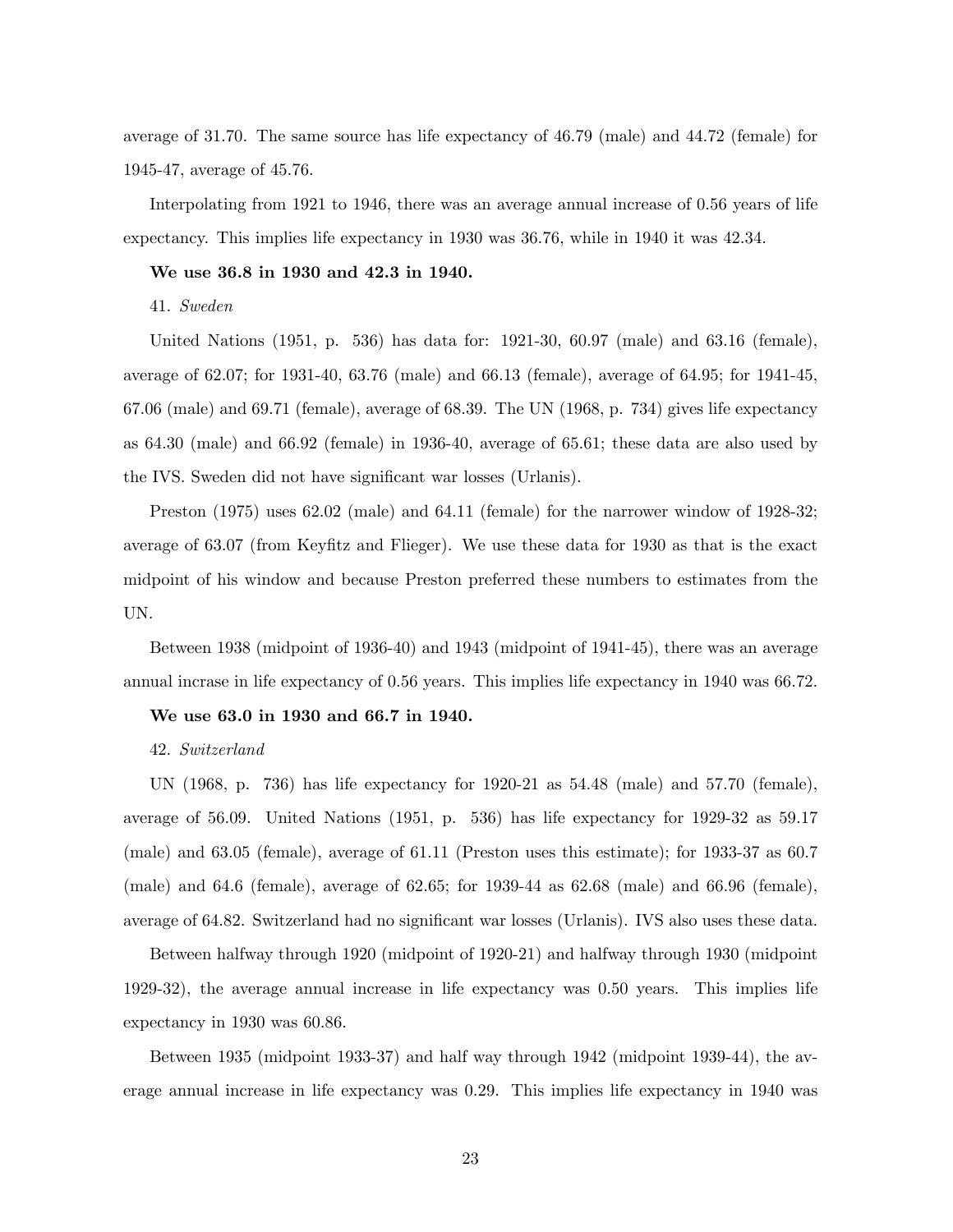average of 31.70. The same source has life expectancy of 46.79 (male) and 44.72 (female) for 1945-47, average of 45.76.

Interpolating from 1921 to 1946, there was an average annual increase of 0.56 years of life expectancy. This implies life expectancy in 1930 was 36.76, while in 1940 it was 42.34.

#### We use 36.8 in 1930 and 42.3 in 1940.

41. Sweden

United Nations (1951, p. 536) has data for: 1921-30, 60.97 (male) and 63.16 (female), average of 62.07; for 1931-40, 63.76 (male) and 66.13 (female), average of 64.95; for 1941-45, 67.06 (male) and 69.71 (female), average of 68.39. The UN (1968, p. 734) gives life expectancy as 64.30 (male) and 66.92 (female) in 1936-40, average of 65.61; these data are also used by the IVS. Sweden did not have significant war losses (Urlanis).

Preston (1975) uses 62.02 (male) and 64.11 (female) for the narrower window of 1928-32; average of 63.07 (from Keyfitz and Flieger). We use these data for 1930 as that is the exact midpoint of his window and because Preston preferred these numbers to estimates from the UN.

Between 1938 (midpoint of 1936-40) and 1943 (midpoint of 1941-45), there was an average annual incrase in life expectancy of 0.56 years. This implies life expectancy in 1940 was 66.72.

#### We use 63.0 in 1930 and 66.7 in 1940.

#### 42. Switzerland

UN (1968, p. 736) has life expectancy for 1920-21 as 54.48 (male) and 57.70 (female), average of 56.09. United Nations (1951, p. 536) has life expectancy for 1929-32 as 59.17 (male) and 63.05 (female), average of 61.11 (Preston uses this estimate); for 1933-37 as 60.7 (male) and 64.6 (female), average of 62.65; for 1939-44 as 62.68 (male) and 66.96 (female), average of 64.82. Switzerland had no significant war losses (Urlanis). IVS also uses these data.

Between halfway through 1920 (midpoint of 1920-21) and halfway through 1930 (midpoint 1929-32), the average annual increase in life expectancy was 0.50 years. This implies life expectancy in 1930 was 60.86.

Between 1935 (midpoint 1933-37) and half way through 1942 (midpoint 1939-44), the average annual increase in life expectancy was 0.29. This implies life expectancy in 1940 was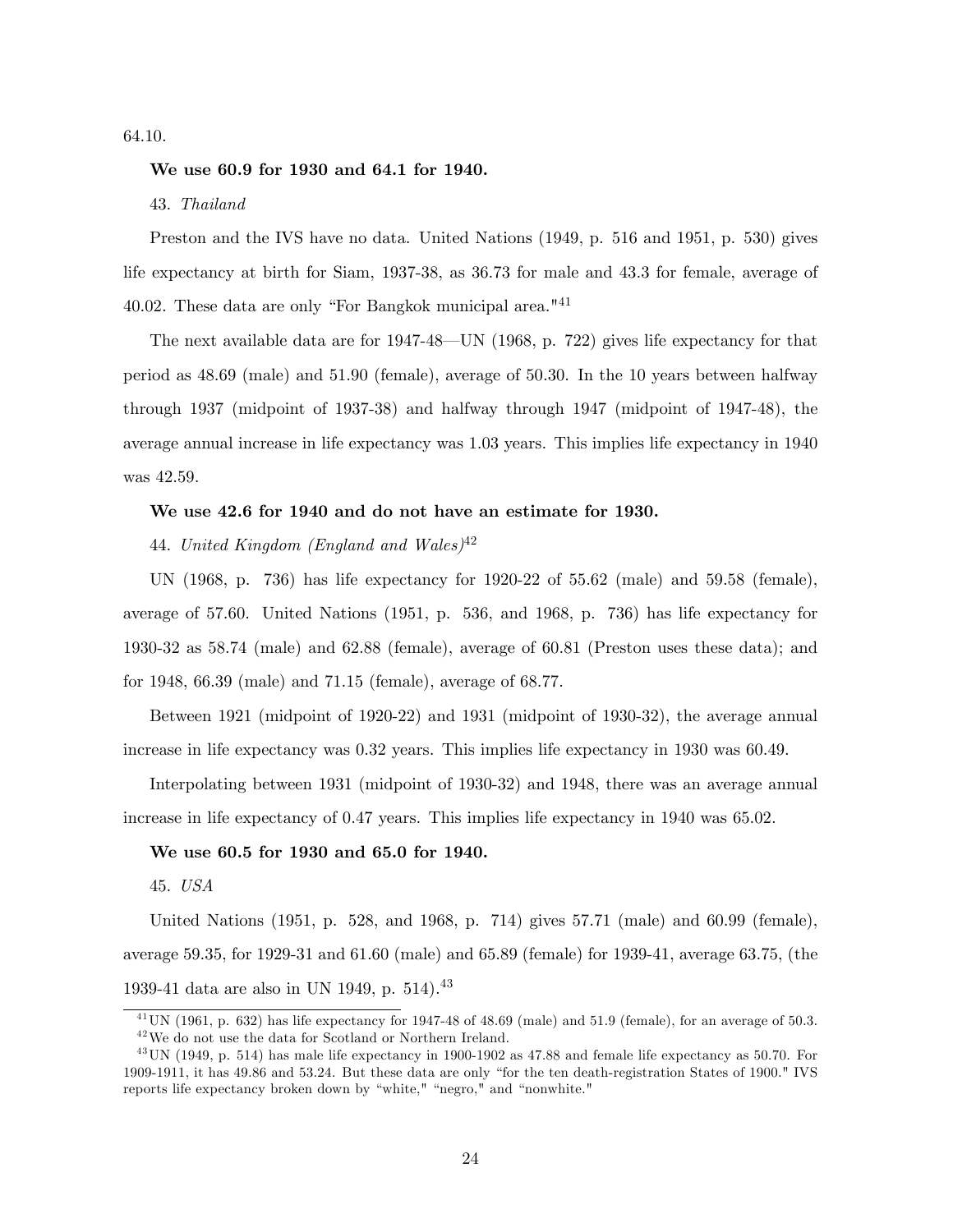64.10.

#### We use 60.9 for 1930 and 64.1 for 1940.

43. Thailand

Preston and the IVS have no data. United Nations (1949, p. 516 and 1951, p. 530) gives life expectancy at birth for Siam, 1937-38, as 36.73 for male and 43.3 for female, average of 40.02. These data are only "For Bangkok municipal area."<sup>41</sup>

The next available data are for  $1947-48$ —UN (1968, p. 722) gives life expectancy for that period as 48.69 (male) and 51.90 (female), average of 50.30. In the 10 years between halfway through 1937 (midpoint of 1937-38) and halfway through 1947 (midpoint of 1947-48), the average annual increase in life expectancy was 1.03 years. This implies life expectancy in 1940 was 42.59.

# We use 42.6 for 1940 and do not have an estimate for 1930.

44. United Kingdom (England and Wales)<sup>42</sup>

UN (1968, p. 736) has life expectancy for 1920-22 of 55.62 (male) and 59.58 (female), average of 57.60. United Nations (1951, p. 536, and 1968, p. 736) has life expectancy for 1930-32 as 58.74 (male) and 62.88 (female), average of 60.81 (Preston uses these data); and for 1948, 66.39 (male) and 71.15 (female), average of 68.77.

Between 1921 (midpoint of 1920-22) and 1931 (midpoint of 1930-32), the average annual increase in life expectancy was 0.32 years. This implies life expectancy in 1930 was 60.49.

Interpolating between 1931 (midpoint of 1930-32) and 1948, there was an average annual increase in life expectancy of 0.47 years. This implies life expectancy in 1940 was 65.02.

#### We use 60.5 for 1930 and 65.0 for 1940.

45. USA

United Nations (1951, p. 528, and 1968, p. 714) gives 57.71 (male) and 60.99 (female), average 59.35, for 1929-31 and 61.60 (male) and 65.89 (female) for 1939-41, average 63.75, (the 1939-41 data are also in UN 1949, p.  $514$ .<sup>43</sup>

 $^{41}$  UN (1961, p. 632) has life expectancy for 1947-48 of 48.69 (male) and 51.9 (female), for an average of 50.3.  $^{42}\mathrm{We}$  do not use the data for Scotland or Northern Ireland.

<sup>&</sup>lt;sup>43</sup> UN (1949, p. 514) has male life expectancy in 1900-1902 as 47.88 and female life expectancy as 50.70. For 1909-1911, it has  $49.86$  and  $53.24$ . But these data are only "for the ten death-registration States of 1900." IVS reports life expectancy broken down by "white," "negro," and "nonwhite."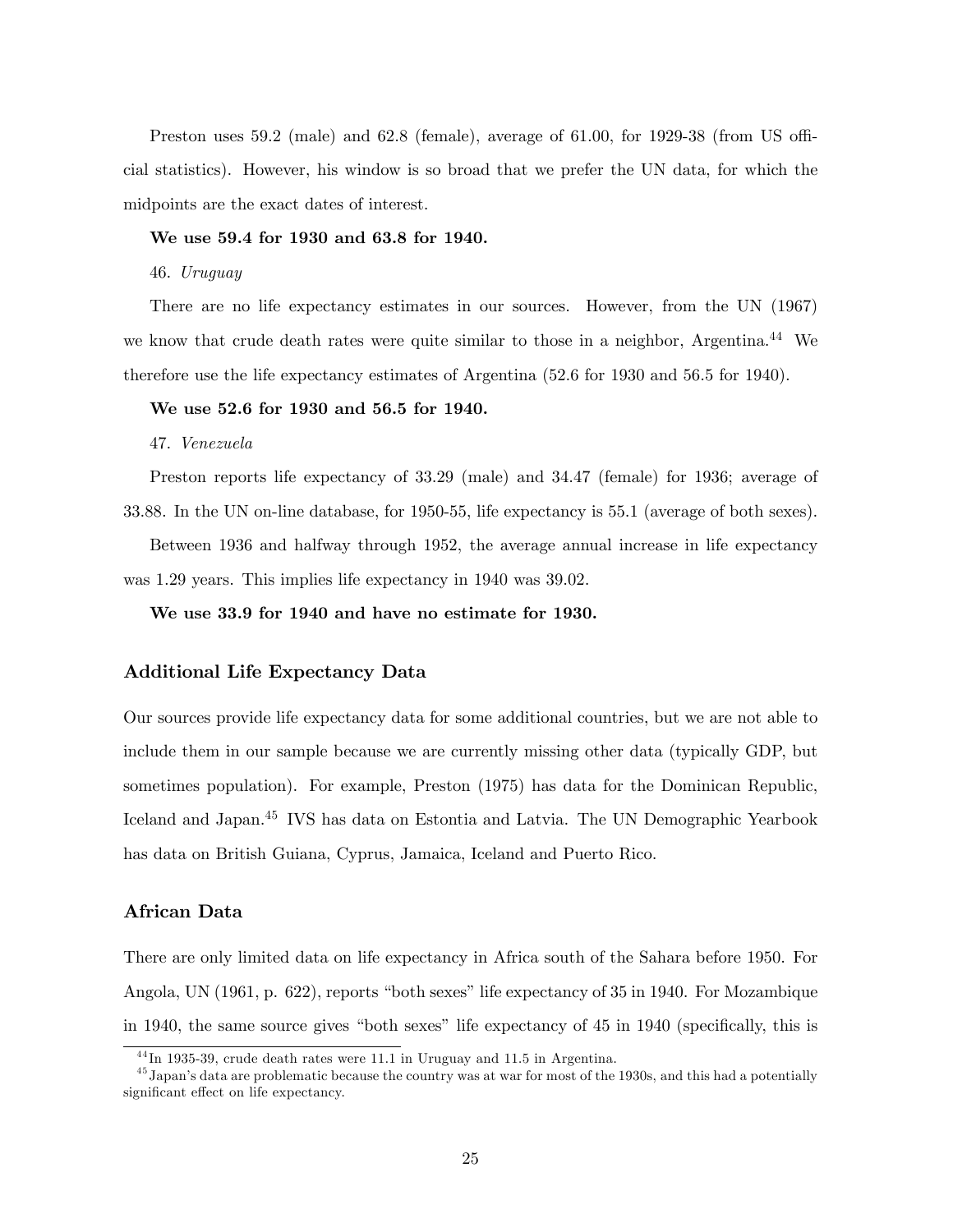Preston uses  $59.2 \text{ (male)}$  and  $62.8 \text{ (female)}$ , average of  $61.00$ , for  $1929-38 \text{ (from US off)}$ cial statistics). However, his window is so broad that we prefer the UN data, for which the midpoints are the exact dates of interest.

#### We use 59.4 for 1930 and 63.8 for 1940.

46. Uruguay

There are no life expectancy estimates in our sources. However, from the UN (1967) we know that crude death rates were quite similar to those in a neighbor, Argentina.<sup>44</sup> We therefore use the life expectancy estimates of Argentina (52.6 for 1930 and 56.5 for 1940).

# We use 52.6 for 1930 and 56.5 for 1940.

47. Venezuela

Preston reports life expectancy of 33.29 (male) and 34.47 (female) for 1936; average of 33.88. In the UN on-line database, for 1950-55, life expectancy is 55.1 (average of both sexes). Between 1936 and halfway through 1952, the average annual increase in life expectancy was 1.29 years. This implies life expectancy in 1940 was 39.02.

We use 33.9 for 1940 and have no estimate for 1930.

# Additional Life Expectancy Data

Our sources provide life expectancy data for some additional countries, but we are not able to include them in our sample because we are currently missing other data (typically GDP, but sometimes population). For example, Preston (1975) has data for the Dominican Republic, Iceland and Japan.<sup>45</sup> IVS has data on Estontia and Latvia. The UN Demographic Yearbook has data on British Guiana, Cyprus, Jamaica, Iceland and Puerto Rico.

# African Data

There are only limited data on life expectancy in Africa south of the Sahara before 1950. For Angola, UN (1961, p. 622), reports "both sexes" life expectancy of 35 in 1940. For Mozambique in 1940, the same source gives "both sexes" life expectancy of 45 in 1940 (specifically, this is

 $^{44}$ In 1935-39, crude death rates were 11.1 in Uruguay and 11.5 in Argentina.

 $^{45}$  Japan's data are problematic because the country was at war for most of the 1930s, and this had a potentially significant effect on life expectancy.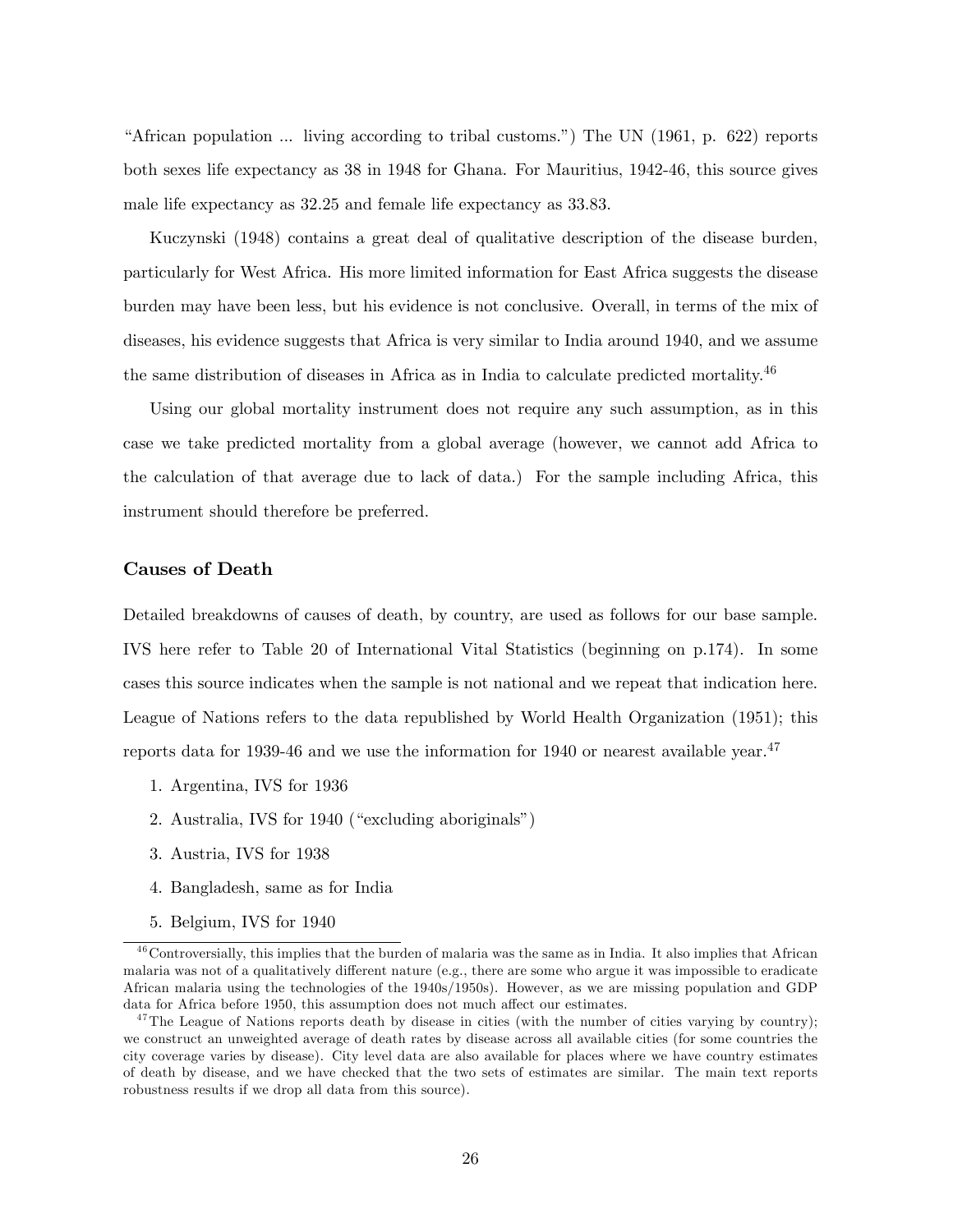"African population  $\ldots$  living according to tribal customs.") The UN (1961, p. 622) reports both sexes life expectancy as 38 in 1948 for Ghana. For Mauritius, 1942-46, this source gives male life expectancy as 32.25 and female life expectancy as 33.83.

Kuczynski (1948) contains a great deal of qualitative description of the disease burden, particularly for West Africa. His more limited information for East Africa suggests the disease burden may have been less, but his evidence is not conclusive. Overall, in terms of the mix of diseases, his evidence suggests that Africa is very similar to India around 1940, and we assume the same distribution of diseases in Africa as in India to calculate predicted mortality.<sup>46</sup>

Using our global mortality instrument does not require any such assumption, as in this case we take predicted mortality from a global average (however, we cannot add Africa to the calculation of that average due to lack of data.) For the sample including Africa, this instrument should therefore be preferred.

# Causes of Death

Detailed breakdowns of causes of death, by country, are used as follows for our base sample. IVS here refer to Table 20 of International Vital Statistics (beginning on p.174). In some cases this source indicates when the sample is not national and we repeat that indication here. League of Nations refers to the data republished by World Health Organization (1951); this reports data for 1939-46 and we use the information for 1940 or nearest available year.<sup>47</sup>

- 1. Argentina, IVS for 1936
- 2. Australia, IVS for  $1940$  ("excluding aboriginals")
- 3. Austria, IVS for 1938
- 4. Bangladesh, same as for India
- 5. Belgium, IVS for 1940

 $^{46}$ Controversially, this implies that the burden of malaria was the same as in India. It also implies that African malaria was not of a qualitatively different nature (e.g., there are some who argue it was impossible to eradicate African malaria using the technologies of the 1940s/1950s). However, as we are missing population and GDP data for Africa before 1950, this assumption does not much affect our estimates.

<sup>&</sup>lt;sup>47</sup>The League of Nations reports death by disease in cities (with the number of cities varying by country); we construct an unweighted average of death rates by disease across all available cities (for some countries the city coverage varies by disease). City level data are also available for places where we have country estimates of death by disease, and we have checked that the two sets of estimates are similar. The main text reports robustness results if we drop all data from this source).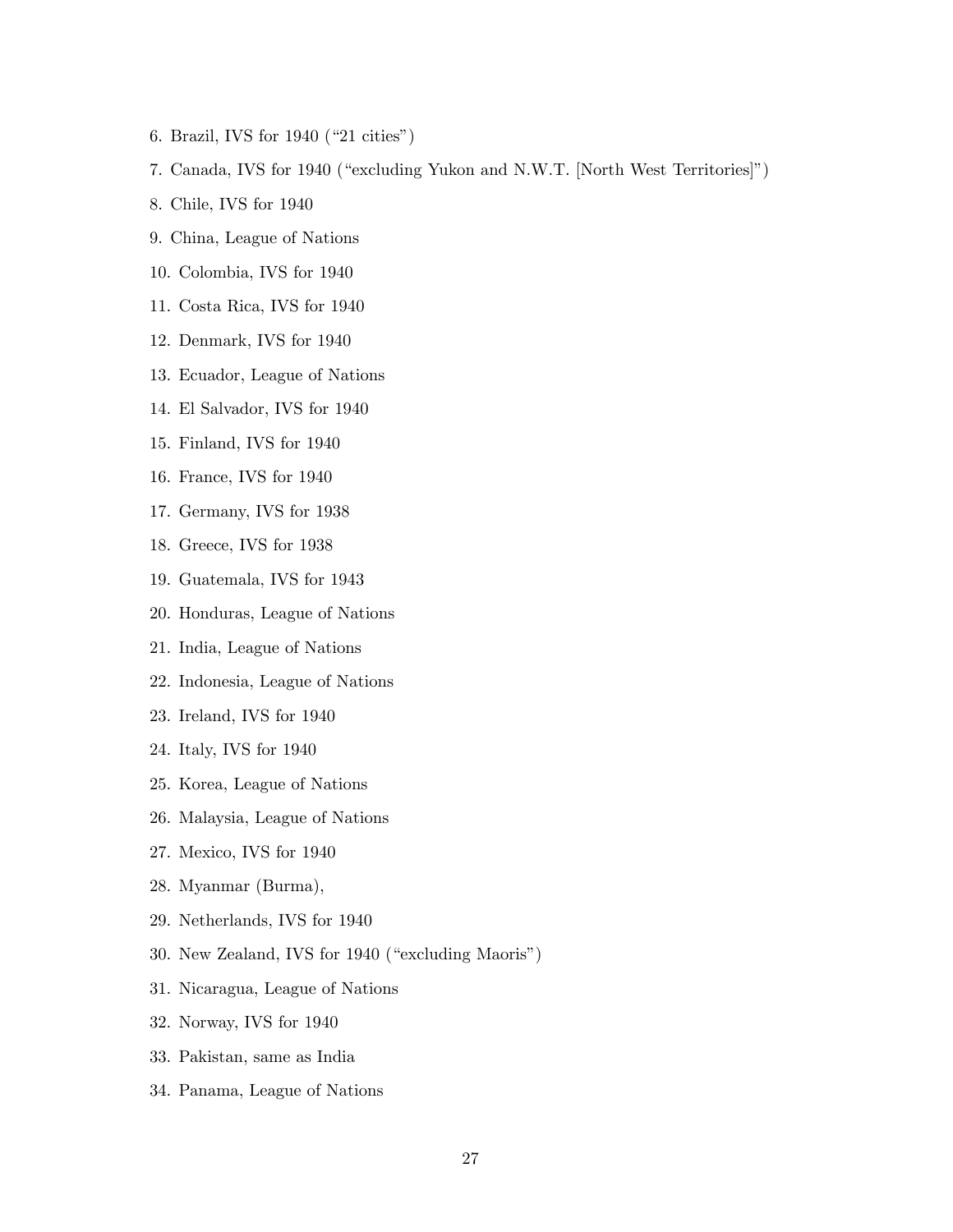- 6. Brazil, IVS for  $1940$  ("21 cities")
- 7. Canada, IVS for 1940 ("excluding Yukon and N.W.T. [North West Territories]")
- 8. Chile, IVS for 1940
- 9. China, League of Nations
- 10. Colombia, IVS for 1940
- 11. Costa Rica, IVS for 1940
- 12. Denmark, IVS for 1940
- 13. Ecuador, League of Nations
- 14. El Salvador, IVS for 1940
- 15. Finland, IVS for 1940
- 16. France, IVS for 1940
- 17. Germany, IVS for 1938
- 18. Greece, IVS for 1938
- 19. Guatemala, IVS for 1943
- 20. Honduras, League of Nations
- 21. India, League of Nations
- 22. Indonesia, League of Nations
- 23. Ireland, IVS for 1940
- 24. Italy, IVS for 1940
- 25. Korea, League of Nations
- 26. Malaysia, League of Nations
- 27. Mexico, IVS for 1940
- 28. Myanmar (Burma),
- 29. Netherlands, IVS for 1940
- 30. New Zealand, IVS for 1940 ("excluding Maoris")
- 31. Nicaragua, League of Nations
- 32. Norway, IVS for 1940
- 33. Pakistan, same as India
- 34. Panama, League of Nations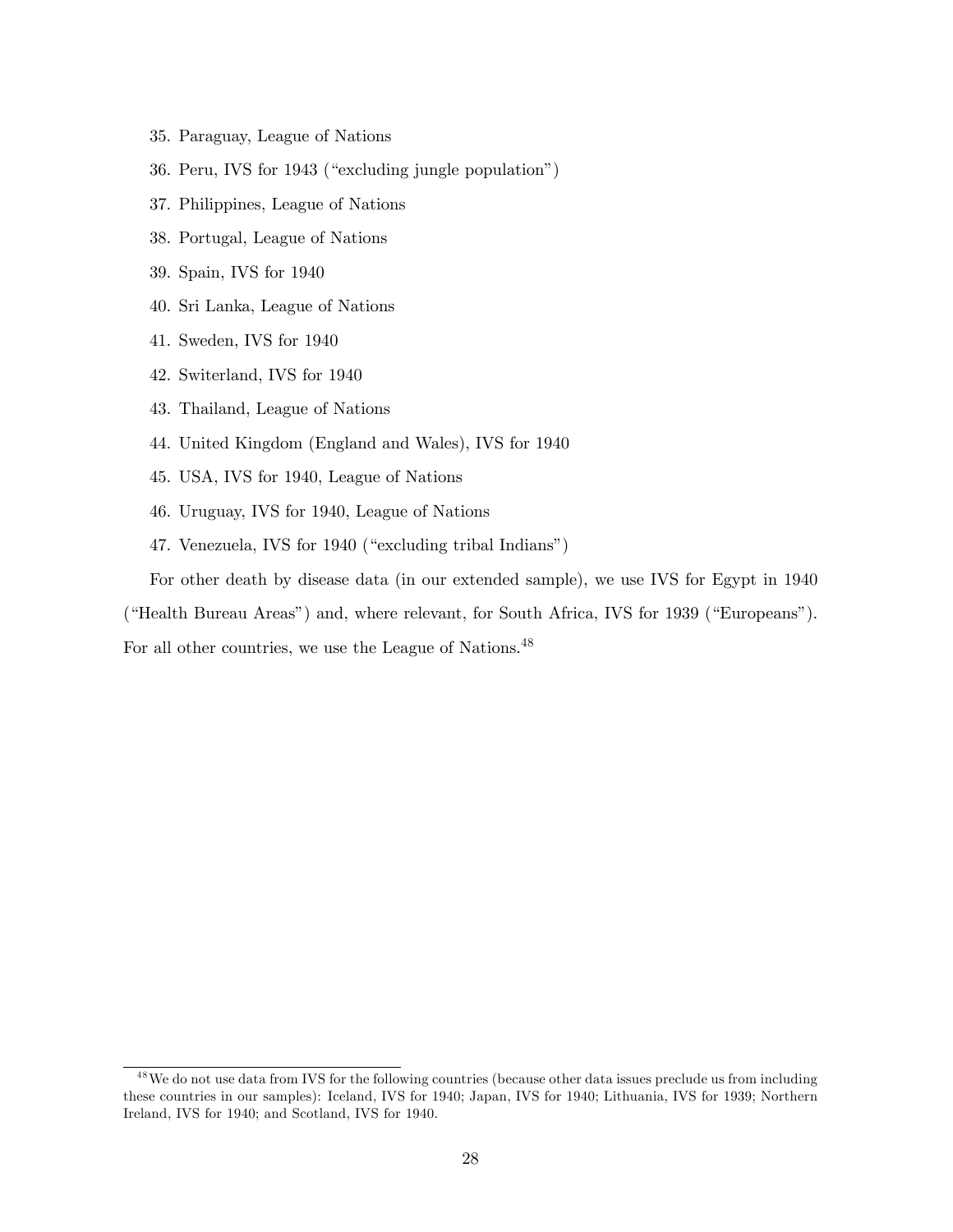- 35. Paraguay, League of Nations
- 36. Peru, IVS for 1943 ("excluding jungle population")
- 37. Philippines, League of Nations
- 38. Portugal, League of Nations
- 39. Spain, IVS for 1940
- 40. Sri Lanka, League of Nations
- 41. Sweden, IVS for 1940
- 42. Switerland, IVS for 1940
- 43. Thailand, League of Nations
- 44. United Kingdom (England and Wales), IVS for 1940
- 45. USA, IVS for 1940, League of Nations
- 46. Uruguay, IVS for 1940, League of Nations
- 47. Venezuela, IVS for 1940 ("excluding tribal Indians")

For other death by disease data (in our extended sample), we use IVS for Egypt in 1940

("Health Bureau Areas") and, where relevant, for South Africa, IVS for 1939 ("Europeans").

For all other countries, we use the League of Nations.<sup>48</sup>

<sup>&</sup>lt;sup>48</sup>We do not use data from IVS for the following countries (because other data issues preclude us from including these countries in our samples): Iceland, IVS for 1940; Japan, IVS for 1940; Lithuania, IVS for 1939; Northern Ireland, IVS for 1940; and Scotland, IVS for 1940.